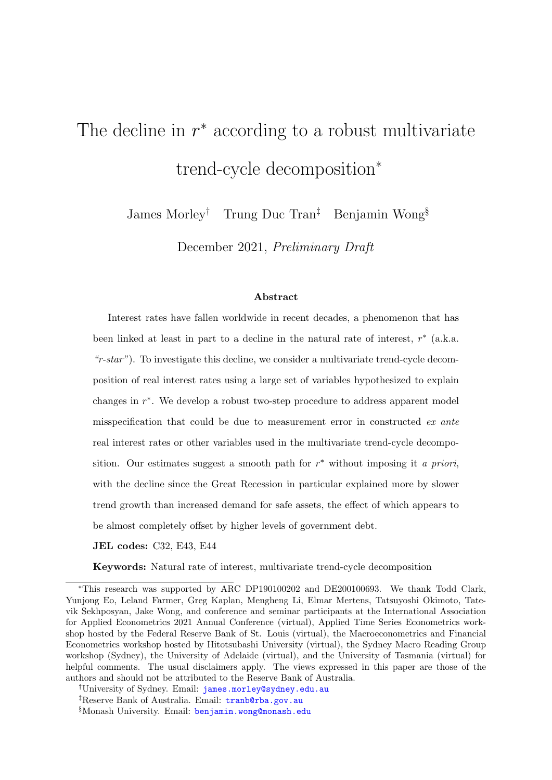# The decline in  $r^*$  according to a robust multivariate trend-cycle decomposition<sup>∗</sup>

James Morley† Trung Duc Tran‡ Benjamin Wong§

December 2021, Preliminary Draft

#### Abstract

Interest rates have fallen worldwide in recent decades, a phenomenon that has been linked at least in part to a decline in the natural rate of interest,  $r^*$  (a.k.a. " $r-star$ "). To investigate this decline, we consider a multivariate trend-cycle decomposition of real interest rates using a large set of variables hypothesized to explain changes in  $r^*$ . We develop a robust two-step procedure to address apparent model misspecification that could be due to measurement error in constructed ex ante real interest rates or other variables used in the multivariate trend-cycle decomposition. Our estimates suggest a smooth path for  $r^*$  without imposing it a priori, with the decline since the Great Recession in particular explained more by slower trend growth than increased demand for safe assets, the effect of which appears to be almost completely offset by higher levels of government debt.

#### JEL codes: C32, E43, E44

Keywords: Natural rate of interest, multivariate trend-cycle decomposition

<sup>∗</sup>This research was supported by ARC DP190100202 and DE200100693. We thank Todd Clark, Yunjong Eo, Leland Farmer, Greg Kaplan, Mengheng Li, Elmar Mertens, Tatsuyoshi Okimoto, Tatevik Sekhposyan, Jake Wong, and conference and seminar participants at the International Association for Applied Econometrics 2021 Annual Conference (virtual), Applied Time Series Econometrics workshop hosted by the Federal Reserve Bank of St. Louis (virtual), the Macroeconometrics and Financial Econometrics workshop hosted by Hitotsubashi University (virtual), the Sydney Macro Reading Group workshop (Sydney), the University of Adelaide (virtual), and the University of Tasmania (virtual) for helpful comments. The usual disclaimers apply. The views expressed in this paper are those of the authors and should not be attributed to the Reserve Bank of Australia.

<sup>†</sup>University of Sydney. Email: <james.morley@sydney.edu.au>

<sup>‡</sup>Reserve Bank of Australia. Email: <tranb@rba.gov.au>

<sup>§</sup>Monash University. Email: <benjamin.wong@monash.edu>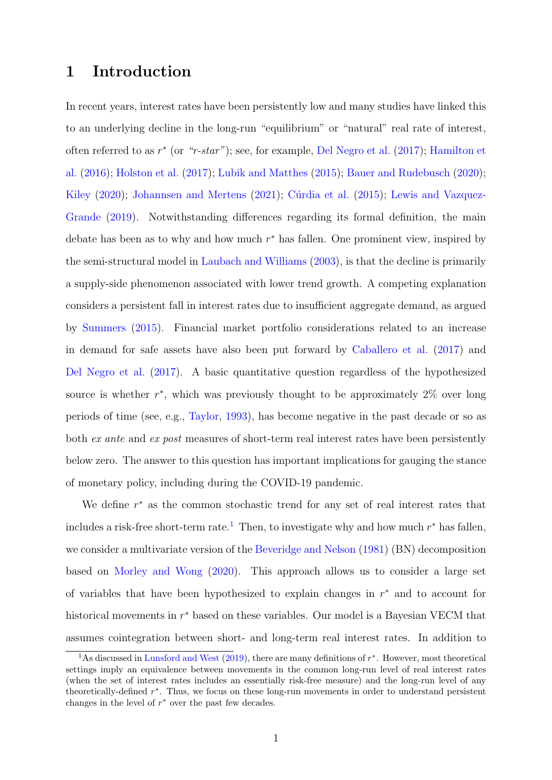## 1 Introduction

In recent years, interest rates have been persistently low and many studies have linked this to an underlying decline in the long-run "equilibrium" or "natural" real rate of interest, often referred to as  $r^*$  (or "r-star"); see, for example, [Del Negro et al.](#page-42-0) [\(2017\)](#page-42-0); [Hamilton et](#page-40-0) [al.](#page-40-0) [\(2016\)](#page-40-0); [Holston et al.](#page-40-1) [\(2017\)](#page-40-1); [Lubik and Matthes](#page-41-0) [\(2015\)](#page-41-0); [Bauer and Rudebusch](#page-38-0) [\(2020\)](#page-38-0); [Kiley](#page-40-2) [\(2020\)](#page-40-2); [Johannsen and Mertens](#page-40-3) [\(2021\)](#page-40-3); Cúrdia et al. [\(2015\)](#page-39-0); [Lewis and Vazquez-](#page-41-1)[Grande](#page-41-1) [\(2019\)](#page-41-1). Notwithstanding differences regarding its formal definition, the main debate has been as to why and how much  $r^*$  has fallen. One prominent view, inspired by the semi-structural model in [Laubach and Williams](#page-41-2) [\(2003\)](#page-41-2), is that the decline is primarily a supply-side phenomenon associated with lower trend growth. A competing explanation considers a persistent fall in interest rates due to insufficient aggregate demand, as argued by [Summers](#page-42-1) [\(2015\)](#page-42-1). Financial market portfolio considerations related to an increase in demand for safe assets have also been put forward by [Caballero et al.](#page-38-1) [\(2017\)](#page-38-1) and [Del Negro et al.](#page-42-0) [\(2017\)](#page-42-0). A basic quantitative question regardless of the hypothesized source is whether  $r^*$ , which was previously thought to be approximately  $2\%$  over long periods of time (see, e.g., [Taylor,](#page-42-2) [1993\)](#page-42-2), has become negative in the past decade or so as both ex ante and ex post measures of short-term real interest rates have been persistently below zero. The answer to this question has important implications for gauging the stance of monetary policy, including during the COVID-19 pandemic.

We define  $r^*$  as the common stochastic trend for any set of real interest rates that includes a risk-free short-term rate.<sup>[1](#page-1-0)</sup> Then, to investigate why and how much  $r^*$  has fallen, we consider a multivariate version of the [Beveridge and Nelson](#page-38-2) [\(1981\)](#page-38-2) (BN) decomposition based on [Morley and Wong](#page-41-3) [\(2020\)](#page-41-3). This approach allows us to consider a large set of variables that have been hypothesized to explain changes in  $r^*$  and to account for historical movements in  $r^*$  based on these variables. Our model is a Bayesian VECM that assumes cointegration between short- and long-term real interest rates. In addition to

<span id="page-1-0"></span><sup>&</sup>lt;sup>1</sup>As discussed in [Lunsford and West](#page-41-4)  $(2019)$ , there are many definitions of  $r^*$ . However, most theoretical settings imply an equivalence between movements in the common long-run level of real interest rates (when the set of interest rates includes an essentially risk-free measure) and the long-run level of any theoretically-defined  $r^*$ . Thus, we focus on these long-run movements in order to understand persistent changes in the level of  $r^*$  over the past few decades.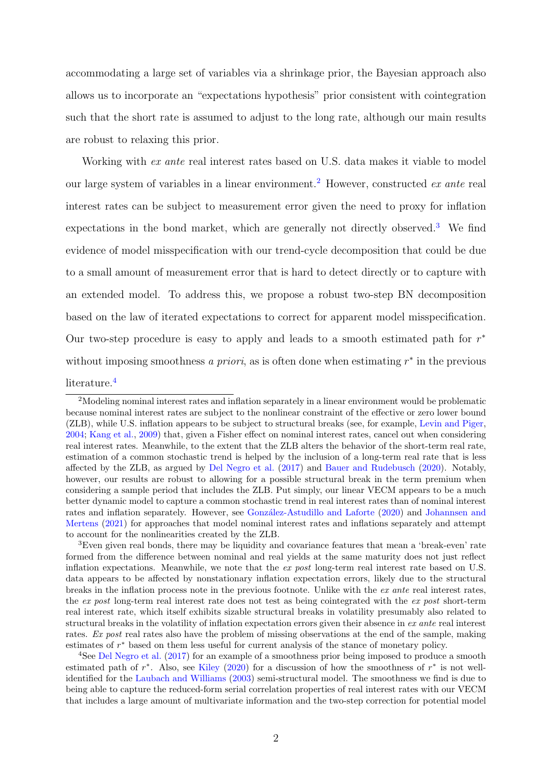accommodating a large set of variables via a shrinkage prior, the Bayesian approach also allows us to incorporate an "expectations hypothesis" prior consistent with cointegration such that the short rate is assumed to adjust to the long rate, although our main results are robust to relaxing this prior.

Working with ex ante real interest rates based on U.S. data makes it viable to model our large system of variables in a linear environment.<sup>[2](#page-2-0)</sup> However, constructed ex ante real interest rates can be subject to measurement error given the need to proxy for inflation expectations in the bond market, which are generally not directly observed.[3](#page-2-1) We find evidence of model misspecification with our trend-cycle decomposition that could be due to a small amount of measurement error that is hard to detect directly or to capture with an extended model. To address this, we propose a robust two-step BN decomposition based on the law of iterated expectations to correct for apparent model misspecification. Our two-step procedure is easy to apply and leads to a smooth estimated path for  $r^*$ without imposing smoothness *a priori*, as is often done when estimating  $r^*$  in the previous literature.[4](#page-2-2)

<span id="page-2-0"></span><sup>2</sup>Modeling nominal interest rates and inflation separately in a linear environment would be problematic because nominal interest rates are subject to the nonlinear constraint of the effective or zero lower bound (ZLB), while U.S. inflation appears to be subject to structural breaks (see, for example, [Levin and Piger,](#page-41-5) [2004;](#page-41-5) [Kang et al.,](#page-40-4) [2009\)](#page-40-4) that, given a Fisher effect on nominal interest rates, cancel out when considering real interest rates. Meanwhile, to the extent that the ZLB alters the behavior of the short-term real rate, estimation of a common stochastic trend is helped by the inclusion of a long-term real rate that is less affected by the ZLB, as argued by [Del Negro et al.](#page-42-0) [\(2017\)](#page-42-0) and [Bauer and Rudebusch](#page-38-0) [\(2020\)](#page-38-0). Notably, however, our results are robust to allowing for a possible structural break in the term premium when considering a sample period that includes the ZLB. Put simply, our linear VECM appears to be a much better dynamic model to capture a common stochastic trend in real interest rates than of nominal interest rates and inflation separately. However, see González-Astudillo and Laforte [\(2020\)](#page-39-1) and [Johannsen and](#page-40-3) [Mertens](#page-40-3) [\(2021\)](#page-40-3) for approaches that model nominal interest rates and inflations separately and attempt to account for the nonlinearities created by the ZLB.

<span id="page-2-1"></span><sup>&</sup>lt;sup>3</sup>Even given real bonds, there may be liquidity and covariance features that mean a 'break-even' rate formed from the difference between nominal and real yields at the same maturity does not just reflect inflation expectations. Meanwhile, we note that the ex post long-term real interest rate based on U.S. data appears to be affected by nonstationary inflation expectation errors, likely due to the structural breaks in the inflation process note in the previous footnote. Unlike with the ex ante real interest rates, the ex post long-term real interest rate does not test as being cointegrated with the ex post short-term real interest rate, which itself exhibits sizable structural breaks in volatility presumably also related to structural breaks in the volatility of inflation expectation errors given their absence in ex ante real interest rates. Ex post real rates also have the problem of missing observations at the end of the sample, making estimates of  $r^*$  based on them less useful for current analysis of the stance of monetary policy.

<span id="page-2-2"></span><sup>4</sup>See [Del Negro et al.](#page-42-0) [\(2017\)](#page-42-0) for an example of a smoothness prior being imposed to produce a smooth estimated path of  $r^*$ . Also, see [Kiley](#page-40-2) [\(2020\)](#page-40-2) for a discussion of how the smoothness of  $r^*$  is not wellidentified for the [Laubach and Williams](#page-41-2) [\(2003\)](#page-41-2) semi-structural model. The smoothness we find is due to being able to capture the reduced-form serial correlation properties of real interest rates with our VECM that includes a large amount of multivariate information and the two-step correction for potential model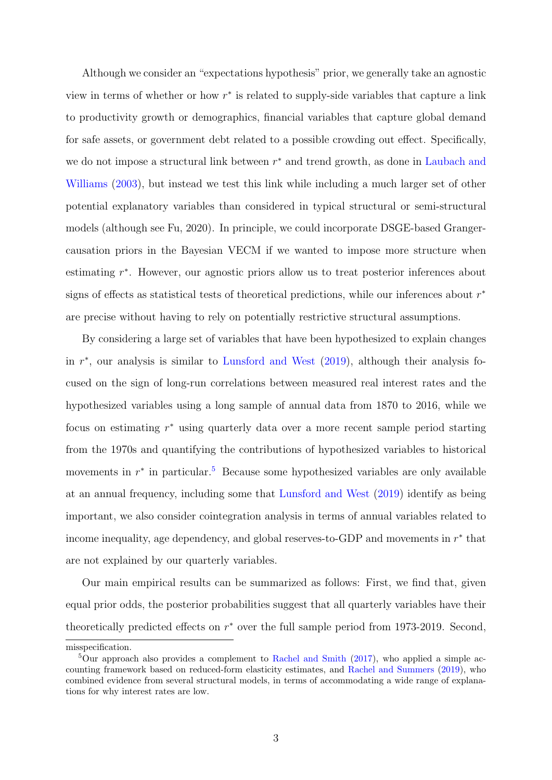Although we consider an "expectations hypothesis" prior, we generally take an agnostic view in terms of whether or how  $r^*$  is related to supply-side variables that capture a link to productivity growth or demographics, financial variables that capture global demand for safe assets, or government debt related to a possible crowding out effect. Specifically, we do not impose a structural link between  $r^*$  and trend growth, as done in [Laubach and](#page-41-2) [Williams](#page-41-2) [\(2003\)](#page-41-2), but instead we test this link while including a much larger set of other potential explanatory variables than considered in typical structural or semi-structural models (although see Fu, 2020). In principle, we could incorporate DSGE-based Grangercausation priors in the Bayesian VECM if we wanted to impose more structure when estimating  $r^*$ . However, our agnostic priors allow us to treat posterior inferences about signs of effects as statistical tests of theoretical predictions, while our inferences about  $r^*$ are precise without having to rely on potentially restrictive structural assumptions.

By considering a large set of variables that have been hypothesized to explain changes in  $r^*$ , our analysis is similar to [Lunsford and West](#page-41-4)  $(2019)$ , although their analysis focused on the sign of long-run correlations between measured real interest rates and the hypothesized variables using a long sample of annual data from 1870 to 2016, while we focus on estimating  $r^*$  using quarterly data over a more recent sample period starting from the 1970s and quantifying the contributions of hypothesized variables to historical movements in  $r^*$  in particular.<sup>[5](#page-3-0)</sup> Because some hypothesized variables are only available at an annual frequency, including some that [Lunsford and West](#page-41-4) [\(2019\)](#page-41-4) identify as being important, we also consider cointegration analysis in terms of annual variables related to income inequality, age dependency, and global reserves-to-GDP and movements in  $r^*$  that are not explained by our quarterly variables.

Our main empirical results can be summarized as follows: First, we find that, given equal prior odds, the posterior probabilities suggest that all quarterly variables have their theoretically predicted effects on  $r^*$  over the full sample period from 1973-2019. Second,

misspecification.

<span id="page-3-0"></span><sup>&</sup>lt;sup>5</sup>Our approach also provides a complement to [Rachel and Smith](#page-42-3) [\(2017\)](#page-42-3), who applied a simple accounting framework based on reduced-form elasticity estimates, and [Rachel and Summers](#page-42-4) [\(2019\)](#page-42-4), who combined evidence from several structural models, in terms of accommodating a wide range of explanations for why interest rates are low.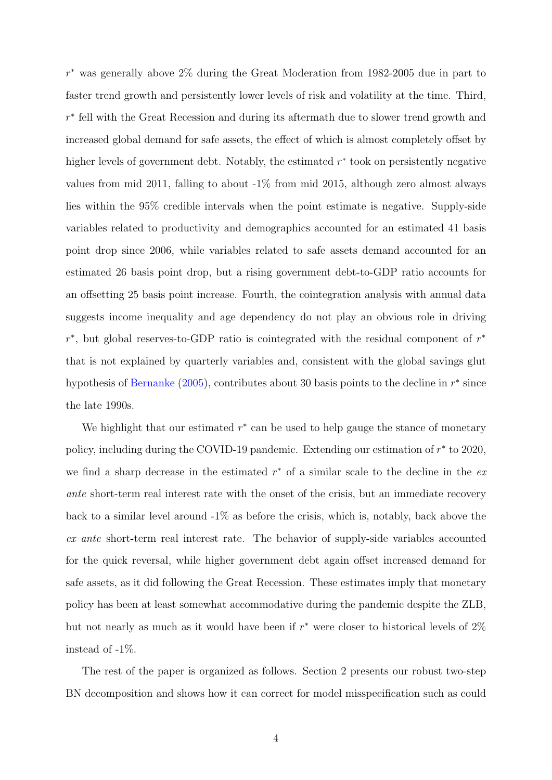r <sup>∗</sup> was generally above 2% during the Great Moderation from 1982-2005 due in part to faster trend growth and persistently lower levels of risk and volatility at the time. Third, r ∗ fell with the Great Recession and during its aftermath due to slower trend growth and increased global demand for safe assets, the effect of which is almost completely offset by higher levels of government debt. Notably, the estimated  $r^*$  took on persistently negative values from mid 2011, falling to about -1% from mid 2015, although zero almost always lies within the 95% credible intervals when the point estimate is negative. Supply-side variables related to productivity and demographics accounted for an estimated 41 basis point drop since 2006, while variables related to safe assets demand accounted for an estimated 26 basis point drop, but a rising government debt-to-GDP ratio accounts for an offsetting 25 basis point increase. Fourth, the cointegration analysis with annual data suggests income inequality and age dependency do not play an obvious role in driving  $r^*$ , but global reserves-to-GDP ratio is cointegrated with the residual component of  $r^*$ that is not explained by quarterly variables and, consistent with the global savings glut hypothesis of [Bernanke](#page-38-3)  $(2005)$ , contributes about 30 basis points to the decline in  $r^*$  since the late 1990s.

We highlight that our estimated  $r^*$  can be used to help gauge the stance of monetary policy, including during the COVID-19 pandemic. Extending our estimation of  $r^*$  to 2020, we find a sharp decrease in the estimated  $r^*$  of a similar scale to the decline in the exante short-term real interest rate with the onset of the crisis, but an immediate recovery back to a similar level around -1% as before the crisis, which is, notably, back above the ex ante short-term real interest rate. The behavior of supply-side variables accounted for the quick reversal, while higher government debt again offset increased demand for safe assets, as it did following the Great Recession. These estimates imply that monetary policy has been at least somewhat accommodative during the pandemic despite the ZLB, but not nearly as much as it would have been if  $r^*$  were closer to historical levels of  $2\%$ instead of -1%.

The rest of the paper is organized as follows. Section 2 presents our robust two-step BN decomposition and shows how it can correct for model misspecification such as could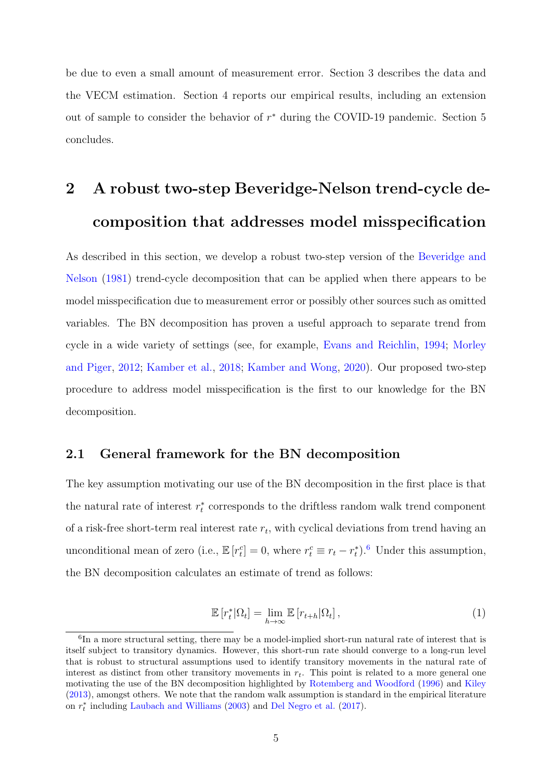be due to even a small amount of measurement error. Section 3 describes the data and the VECM estimation. Section 4 reports our empirical results, including an extension out of sample to consider the behavior of  $r^*$  during the COVID-19 pandemic. Section 5 concludes.

## 2 A robust two-step Beveridge-Nelson trend-cycle decomposition that addresses model misspecification

As described in this section, we develop a robust two-step version of the [Beveridge and](#page-38-2) [Nelson](#page-38-2) [\(1981\)](#page-38-2) trend-cycle decomposition that can be applied when there appears to be model misspecification due to measurement error or possibly other sources such as omitted variables. The BN decomposition has proven a useful approach to separate trend from cycle in a wide variety of settings (see, for example, [Evans and Reichlin,](#page-39-2) [1994;](#page-39-2) [Morley](#page-41-6) [and Piger,](#page-41-6) [2012;](#page-41-6) [Kamber et al.,](#page-40-5) [2018;](#page-40-5) [Kamber and Wong,](#page-40-6) [2020\)](#page-40-6). Our proposed two-step procedure to address model misspecification is the first to our knowledge for the BN decomposition.

#### 2.1 General framework for the BN decomposition

The key assumption motivating our use of the BN decomposition in the first place is that the natural rate of interest  $r_t^*$  corresponds to the driftless random walk trend component of a risk-free short-term real interest rate  $r_t$ , with cyclical deviations from trend having an unconditional mean of zero (i.e.,  $\mathbb{E}[r_t^c] = 0$ , where  $r_t^c \equiv r_t - r_t^*$ ).<sup>[6](#page-5-0)</sup> Under this assumption, the BN decomposition calculates an estimate of trend as follows:

$$
\mathbb{E}\left[r_t^*|\Omega_t\right] = \lim_{h \to \infty} \mathbb{E}\left[r_{t+h}|\Omega_t\right],\tag{1}
$$

<span id="page-5-0"></span><sup>&</sup>lt;sup>6</sup>In a more structural setting, there may be a model-implied short-run natural rate of interest that is itself subject to transitory dynamics. However, this short-run rate should converge to a long-run level that is robust to structural assumptions used to identify transitory movements in the natural rate of interest as distinct from other transitory movements in  $r_t$ . This point is related to a more general one motivating the use of the BN decomposition highlighted by [Rotemberg and Woodford](#page-42-5) [\(1996\)](#page-42-5) and [Kiley](#page-40-7) [\(2013\)](#page-40-7), amongst others. We note that the random walk assumption is standard in the empirical literature on  $r_t^*$  including [Laubach and Williams](#page-41-2) [\(2003\)](#page-41-2) and [Del Negro et al.](#page-42-0) [\(2017\)](#page-42-0).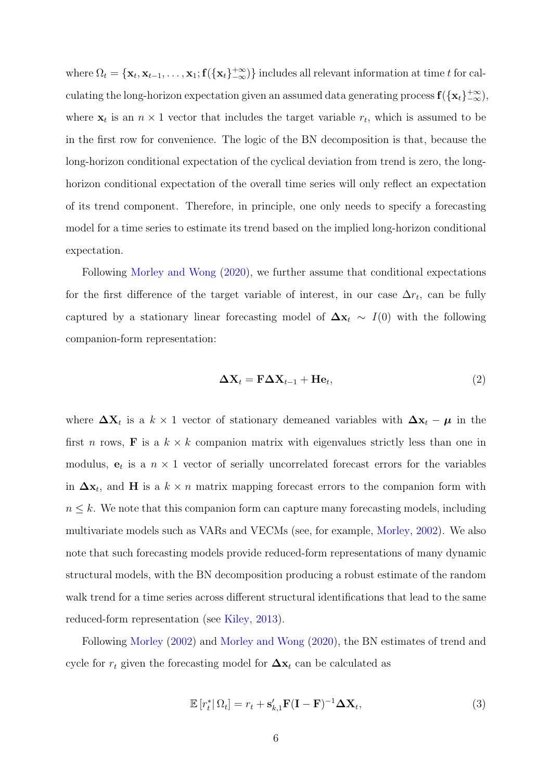where  $\Omega_t = {\mathbf{x}_t, \mathbf{x}_{t-1}, \dots, \mathbf{x}_1; \mathbf{f}(\{\mathbf{x}_t\}_{-\infty}^{+\infty})\}$  includes all relevant information at time t for calculating the long-horizon expectation given an assumed data generating process  $f(\{x_t\}_{-\infty}^{+\infty})$ , where  $\mathbf{x}_t$  is an  $n \times 1$  vector that includes the target variable  $r_t$ , which is assumed to be in the first row for convenience. The logic of the BN decomposition is that, because the long-horizon conditional expectation of the cyclical deviation from trend is zero, the longhorizon conditional expectation of the overall time series will only reflect an expectation of its trend component. Therefore, in principle, one only needs to specify a forecasting model for a time series to estimate its trend based on the implied long-horizon conditional expectation.

Following [Morley and Wong](#page-41-3) [\(2020\)](#page-41-3), we further assume that conditional expectations for the first difference of the target variable of interest, in our case  $\Delta r_t$ , can be fully captured by a stationary linear forecasting model of  $\Delta x_t \sim I(0)$  with the following companion-form representation:

<span id="page-6-0"></span>
$$
\Delta \mathbf{X}_t = \mathbf{F} \Delta \mathbf{X}_{t-1} + \mathbf{H} \mathbf{e}_t,\tag{2}
$$

where  $\Delta X_t$  is a  $k \times 1$  vector of stationary demeaned variables with  $\Delta x_t - \mu$  in the first n rows, **F** is a  $k \times k$  companion matrix with eigenvalues strictly less than one in modulus,  $e_t$  is a  $n \times 1$  vector of serially uncorrelated forecast errors for the variables in  $\Delta x_t$ , and H is a  $k \times n$  matrix mapping forecast errors to the companion form with  $n \leq k$ . We note that this companion form can capture many forecasting models, including multivariate models such as VARs and VECMs (see, for example, [Morley,](#page-41-7) [2002\)](#page-41-7). We also note that such forecasting models provide reduced-form representations of many dynamic structural models, with the BN decomposition producing a robust estimate of the random walk trend for a time series across different structural identifications that lead to the same reduced-form representation (see [Kiley,](#page-40-7) [2013\)](#page-40-7).

Following [Morley](#page-41-7) [\(2002\)](#page-41-7) and [Morley and Wong](#page-41-3) [\(2020\)](#page-41-3), the BN estimates of trend and cycle for  $r_t$  given the forecasting model for  $\Delta x_t$  can be calculated as

<span id="page-6-1"></span>
$$
\mathbb{E}\left[r_t^*|\,\Omega_t\right] = r_t + \mathbf{s}_{k,1}'\mathbf{F}(\mathbf{I} - \mathbf{F})^{-1}\boldsymbol{\Delta}\mathbf{X}_t,\tag{3}
$$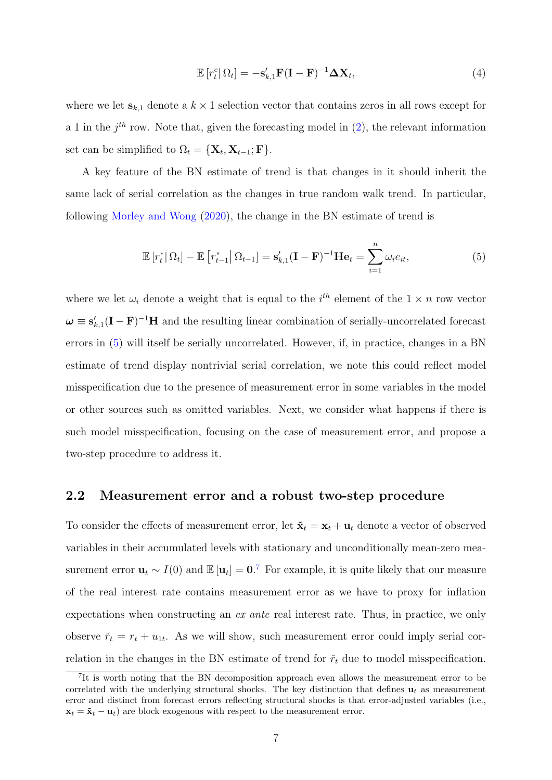$$
\mathbb{E}\left[r_t^c\right|\Omega_t] = -\mathbf{s}_{k,1}'\mathbf{F}(\mathbf{I} - \mathbf{F})^{-1}\Delta\mathbf{X}_t,\tag{4}
$$

where we let  $s_{k,1}$  denote a  $k \times 1$  selection vector that contains zeros in all rows except for a 1 in the  $j<sup>th</sup>$  row. Note that, given the forecasting model in  $(2)$ , the relevant information set can be simplified to  $\Omega_t = {\mathbf{X}_t, \mathbf{X}_{t-1}; \mathbf{F}}.$ 

A key feature of the BN estimate of trend is that changes in it should inherit the same lack of serial correlation as the changes in true random walk trend. In particular, following [Morley and Wong](#page-41-3) [\(2020\)](#page-41-3), the change in the BN estimate of trend is

<span id="page-7-0"></span>
$$
\mathbb{E}\left[r_t^*|\Omega_t\right] - \mathbb{E}\left[r_{t-1}^*|\Omega_{t-1}\right] = \mathbf{s}_{k,1}'(\mathbf{I} - \mathbf{F})^{-1}\mathbf{He}_t = \sum_{i=1}^n \omega_i e_{it},\tag{5}
$$

where we let  $\omega_i$  denote a weight that is equal to the  $i^{th}$  element of the  $1 \times n$  row vector  $\omega \equiv s'_{k,1} (I - F)^{-1}H$  and the resulting linear combination of serially-uncorrelated forecast errors in [\(5\)](#page-7-0) will itself be serially uncorrelated. However, if, in practice, changes in a BN estimate of trend display nontrivial serial correlation, we note this could reflect model misspecification due to the presence of measurement error in some variables in the model or other sources such as omitted variables. Next, we consider what happens if there is such model misspecification, focusing on the case of measurement error, and propose a two-step procedure to address it.

#### 2.2 Measurement error and a robust two-step procedure

To consider the effects of measurement error, let  $\mathbf{\check{x}}_t = \mathbf{x}_t + \mathbf{u}_t$  denote a vector of observed variables in their accumulated levels with stationary and unconditionally mean-zero measurement error  $\mathbf{u}_t \sim I(0)$  and  $\mathbb{E}[\mathbf{u}_t] = \mathbf{0}$ .<sup>[7](#page-7-1)</sup> For example, it is quite likely that our measure of the real interest rate contains measurement error as we have to proxy for inflation expectations when constructing an ex ante real interest rate. Thus, in practice, we only observe  $\check{r}_t = r_t + u_{1t}$ . As we will show, such measurement error could imply serial correlation in the changes in the BN estimate of trend for  $\check{r}_t$  due to model misspecification.

<span id="page-7-1"></span><sup>&</sup>lt;sup>7</sup>It is worth noting that the BN decomposition approach even allows the measurement error to be correlated with the underlying structural shocks. The key distinction that defines  $\mathbf{u}_t$  as measurement error and distinct from forecast errors reflecting structural shocks is that error-adjusted variables (i.e.,  $\mathbf{x}_t = \mathbf{\check{x}}_t - \mathbf{u}_t$  are block exogenous with respect to the measurement error.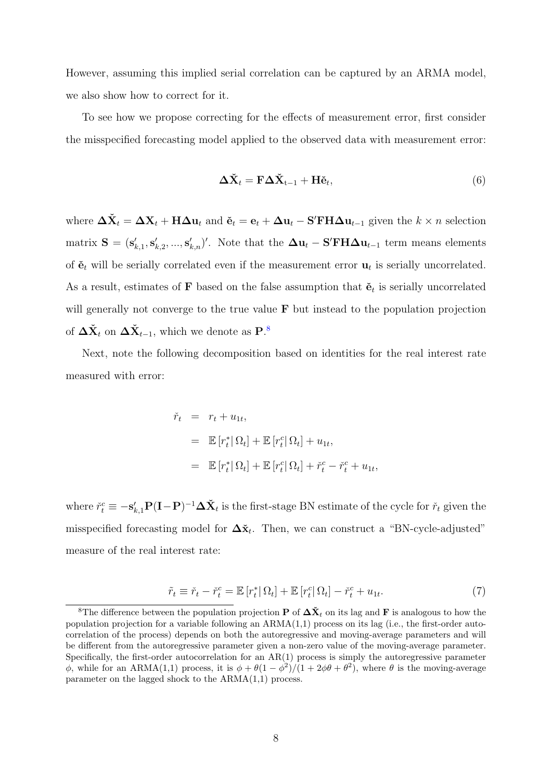However, assuming this implied serial correlation can be captured by an ARMA model, we also show how to correct for it.

To see how we propose correcting for the effects of measurement error, first consider the misspecified forecasting model applied to the observed data with measurement error:

<span id="page-8-2"></span>
$$
\Delta \check{\mathbf{X}}_t = \mathbf{F} \Delta \check{\mathbf{X}}_{t-1} + \mathbf{H} \check{\mathbf{e}}_t,\tag{6}
$$

where  $\Delta \check{\mathbf{X}}_t = \Delta \mathbf{X}_t + \mathbf{H} \Delta \mathbf{u}_t$  and  $\check{\mathbf{e}}_t = \mathbf{e}_t + \Delta \mathbf{u}_t - \mathbf{S}' \mathbf{F} \mathbf{H} \Delta \mathbf{u}_{t-1}$  given the  $k \times n$  selection matrix  $\mathbf{S} = (\mathbf{s}'_{k,1}, \mathbf{s}'_{k,2}, ..., \mathbf{s}'_{k,n})'$ . Note that the  $\Delta u_t - \mathbf{S}' \mathbf{F} \mathbf{H} \Delta u_{t-1}$  term means elements of  $\check{\mathbf{e}}_t$  will be serially correlated even if the measurement error  $\mathbf{u}_t$  is serially uncorrelated. As a result, estimates of **F** based on the false assumption that  $\check{\mathbf{e}}_t$  is serially uncorrelated will generally not converge to the true value **F** but instead to the population projection of  $\Delta \check{X}_t$  on  $\Delta \check{X}_{t-1}$ , which we denote as P.<sup>[8](#page-8-0)</sup>

Next, note the following decomposition based on identities for the real interest rate measured with error:

$$
\begin{aligned}\n\check{r}_t &= r_t + u_{1t}, \\
&= \mathbb{E}\left[r_t^* \middle| \Omega_t\right] + \mathbb{E}\left[r_t^c \middle| \Omega_t\right] + u_{1t}, \\
&= \mathbb{E}\left[r_t^* \middle| \Omega_t\right] + \mathbb{E}\left[r_t^c \middle| \Omega_t\right] + \check{r}_t^c - \check{r}_t^c + u_{1t},\n\end{aligned}
$$

where  $\check{r}_t^c \equiv -\mathbf{s}'_{k,1} \mathbf{P}(\mathbf{I}-\mathbf{P})^{-1} \Delta \check{\mathbf{X}}_t$  is the first-stage BN estimate of the cycle for  $\check{r}_t$  given the misspecified forecasting model for  $\Delta \check{x}_t$ . Then, we can construct a "BN-cycle-adjusted" measure of the real interest rate:

<span id="page-8-1"></span>
$$
\tilde{r}_t \equiv \tilde{r}_t - \tilde{r}_t^c = \mathbb{E}\left[r_t^* \middle| \Omega_t\right] + \mathbb{E}\left[r_t^c \middle| \Omega_t\right] - \tilde{r}_t^c + u_{1t}.\tag{7}
$$

<span id="page-8-0"></span><sup>&</sup>lt;sup>8</sup>The difference between the population projection **P** of  $\Delta \check{X}_t$  on its lag and **F** is analogous to how the population projection for a variable following an  $ARMA(1,1)$  process on its lag (i.e., the first-order autocorrelation of the process) depends on both the autoregressive and moving-average parameters and will be different from the autoregressive parameter given a non-zero value of the moving-average parameter. Specifically, the first-order autocorrelation for an  $AR(1)$  process is simply the autoregressive parameter φ, while for an ARMA(1,1) process, it is  $\phi + \theta(1-\phi^2)/(1+2\phi\theta+\theta^2)$ , where  $\theta$  is the moving-average parameter on the lagged shock to the ARMA(1,1) process.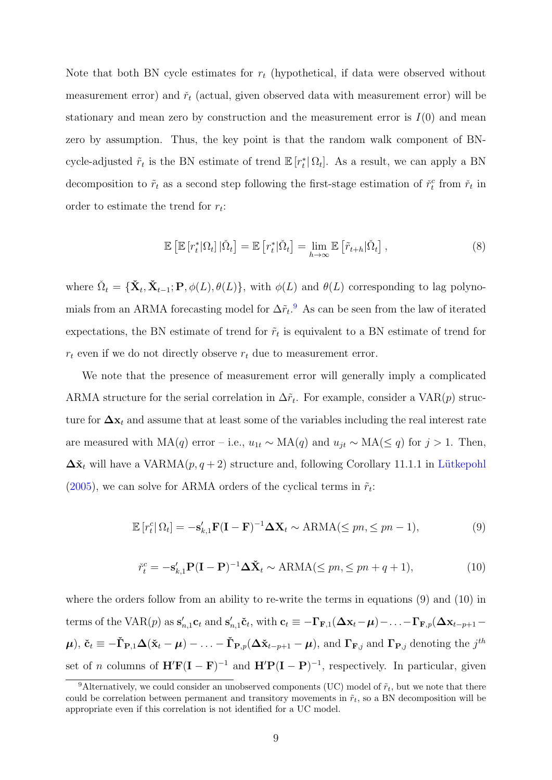Note that both BN cycle estimates for  $r_t$  (hypothetical, if data were observed without measurement error) and  $\tilde{r}_t$  (actual, given observed data with measurement error) will be stationary and mean zero by construction and the measurement error is  $I(0)$  and mean zero by assumption. Thus, the key point is that the random walk component of BNcycle-adjusted  $\tilde{r}_t$  is the BN estimate of trend  $\mathbb{E}[r_t^* | \Omega_t]$ . As a result, we can apply a BN decomposition to  $\tilde{r}_t$  as a second step following the first-stage estimation of  $\tilde{r}_t^c$  from  $\tilde{r}_t$  in order to estimate the trend for  $r_t$ :

$$
\mathbb{E}\left[\mathbb{E}\left[r_{t}^{*}|\Omega_{t}\right]|\check{\Omega}_{t}\right] = \mathbb{E}\left[r_{t}^{*}|\check{\Omega}_{t}\right] = \lim_{h \to \infty} \mathbb{E}\left[\tilde{r}_{t+h}|\check{\Omega}_{t}\right],\tag{8}
$$

where  $\check{\Omega}_t = {\{\check{\mathbf{X}}_t, \check{\mathbf{X}}_{t-1}; \mathbf{P}, \phi(L), \theta(L)\}}$ , with  $\phi(L)$  and  $\theta(L)$  corresponding to lag polynomials from an ARMA forecasting model for  $\Delta \tilde{r}_t$ <sup>[9](#page-9-0)</sup>. As can be seen from the law of iterated expectations, the BN estimate of trend for  $\tilde{r}_t$  is equivalent to a BN estimate of trend for  $r_t$  even if we do not directly observe  $r_t$  due to measurement error.

We note that the presence of measurement error will generally imply a complicated ARMA structure for the serial correlation in  $\Delta \tilde{r}_t$ . For example, consider a VAR(p) structure for  $\Delta x_t$  and assume that at least some of the variables including the real interest rate are measured with MA(q) error – i.e.,  $u_{1t} \sim MA(q)$  and  $u_{jt} \sim MA(\leq q)$  for  $j > 1$ . Then,  $\Delta\mathbf{\check{x}}_t$  will have a VARMA $(p, q+2)$  structure and, following Corollary 11.1.1 in Lütkepohl [\(2005\)](#page-41-8), we can solve for ARMA orders of the cyclical terms in  $\tilde{r}_t$ :

$$
\mathbb{E}\left[r_t^c|\,\Omega_t\right] = -\mathbf{s}_{k,1}'\mathbf{F}(\mathbf{I}-\mathbf{F})^{-1}\boldsymbol{\Delta}\mathbf{X}_t \sim \text{ARMA}(\leq pn, \leq pn - 1),\tag{9}
$$

$$
\check{r}_t^c = -\mathbf{s}_{k,1}' \mathbf{P} (\mathbf{I} - \mathbf{P})^{-1} \Delta \check{\mathbf{X}}_t \sim \text{ARMA}(\leq pn, \leq pn + q + 1),\tag{10}
$$

where the orders follow from an ability to re-write the terms in equations (9) and (10) in terms of the VAR(p) as  $\mathbf{s}'_{n,1}\mathbf{c}_t$  and  $\mathbf{s}'_{n,1}\mathbf{\check{c}}_t$ , with  $\mathbf{c}_t \equiv -\mathbf{\Gamma}_{\mathbf{F},1}(\boldsymbol{\Delta} \mathbf{x}_t - \boldsymbol{\mu}) - \ldots -\mathbf{\Gamma}_{\mathbf{F},p}(\boldsymbol{\Delta} \mathbf{x}_{t-p+1} - \boldsymbol{\mu})$  $\mu$ ),  $\check{\mathbf{c}}_t \equiv -\check{\mathbf{\Gamma}}_{\mathbf{P},1}\Delta(\check{\mathbf{x}}_t - \boldsymbol{\mu}) - \ldots - \check{\mathbf{\Gamma}}_{\mathbf{P},p}(\Delta \check{\mathbf{x}}_{t-p+1} - \boldsymbol{\mu})$ , and  $\mathbf{\Gamma}_{\mathbf{F},j}$  and  $\mathbf{\Gamma}_{\mathbf{P},j}$  denoting the  $j^{th}$ set of n columns of  $\mathbf{H}'\mathbf{F}(\mathbf{I} - \mathbf{F})^{-1}$  and  $\mathbf{H}'\mathbf{P}(\mathbf{I} - \mathbf{P})^{-1}$ , respectively. In particular, given

<span id="page-9-0"></span><sup>&</sup>lt;sup>9</sup>Alternatively, we could consider an unobserved components (UC) model of  $\tilde{r}_t$ , but we note that there could be correlation between permanent and transitory movements in  $\tilde{r}_t$ , so a BN decomposition will be appropriate even if this correlation is not identified for a UC model.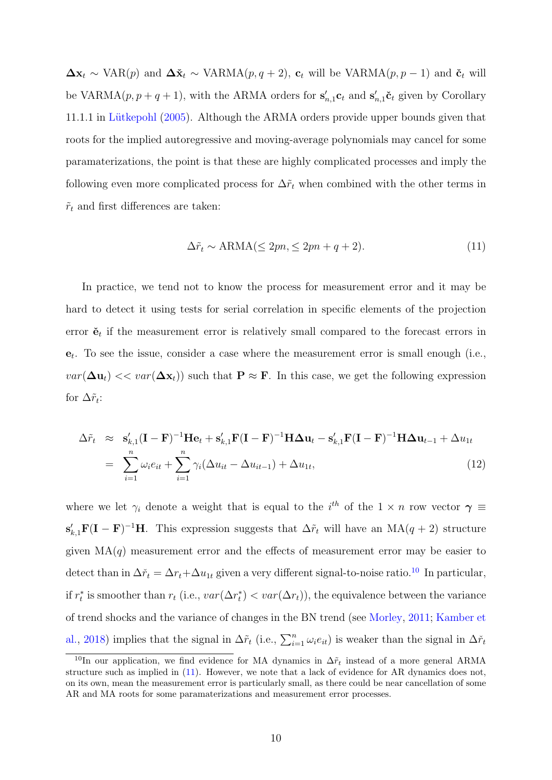$\Delta x_t \sim \text{VAR}(p)$  and  $\Delta \tilde{x}_t \sim \text{VARMA}(p, q+2)$ ,  $\mathbf{c}_t$  will be VARMA $(p, p-1)$  and  $\tilde{\mathbf{c}}_t$  will be VARMA $(p, p + q + 1)$ , with the ARMA orders for  $\mathbf{s}'_{n,1}\mathbf{c}_t$  and  $\mathbf{s}'_{n,1}\mathbf{\check{c}}_t$  given by Corollary  $11.1.1$  in Lütkepohl  $(2005)$ . Although the ARMA orders provide upper bounds given that roots for the implied autoregressive and moving-average polynomials may cancel for some paramaterizations, the point is that these are highly complicated processes and imply the following even more complicated process for  $\Delta\tilde{r}_t$  when combined with the other terms in  $\tilde{r}_t$  and first differences are taken:

<span id="page-10-1"></span>
$$
\Delta \tilde{r}_t \sim \text{ARMA}(\leq 2pn, \leq 2pn + q + 2). \tag{11}
$$

In practice, we tend not to know the process for measurement error and it may be hard to detect it using tests for serial correlation in specific elements of the projection error  $\check{\mathbf{e}}_t$  if the measurement error is relatively small compared to the forecast errors in  $e_t$ . To see the issue, consider a case where the measurement error is small enough (i.e.,  $var(\Delta u_t) \ll var(\Delta x_t)$  such that  $P \approx F$ . In this case, we get the following expression for  $\Delta \tilde{r}_t$ :

<span id="page-10-2"></span>
$$
\Delta \tilde{r}_t \approx \mathbf{s}_{k,1}'(\mathbf{I} - \mathbf{F})^{-1} \mathbf{He}_t + \mathbf{s}_{k,1}' \mathbf{F}(\mathbf{I} - \mathbf{F})^{-1} \mathbf{H} \Delta \mathbf{u}_t - \mathbf{s}_{k,1}' \mathbf{F}(\mathbf{I} - \mathbf{F})^{-1} \mathbf{H} \Delta \mathbf{u}_{t-1} + \Delta u_{1t}
$$
\n
$$
= \sum_{i=1}^n \omega_i e_{it} + \sum_{i=1}^n \gamma_i (\Delta u_{it} - \Delta u_{it-1}) + \Delta u_{1t}, \tag{12}
$$

where we let  $\gamma_i$  denote a weight that is equal to the i<sup>th</sup> of the 1 × n row vector  $\gamma \equiv$  $\mathbf{s}'_{k,1}\mathbf{F}(\mathbf{I}-\mathbf{F})^{-1}\mathbf{H}$ . This expression suggests that  $\Delta\tilde{r}_t$  will have an  $\text{MA}(q+2)$  structure given  $MA(q)$  measurement error and the effects of measurement error may be easier to detect than in  $\Delta \check{r}_t = \Delta r_t + \Delta u_{1t}$  given a very different signal-to-noise ratio.<sup>[10](#page-10-0)</sup> In particular, if  $r_t^*$  is smoother than  $r_t$  (i.e.,  $var(\Delta r_t^*) < var(\Delta r_t)$ ), the equivalence between the variance of trend shocks and the variance of changes in the BN trend (see [Morley,](#page-42-6) [2011;](#page-42-6) [Kamber et](#page-40-5) [al.,](#page-40-5) [2018\)](#page-40-5) implies that the signal in  $\Delta \tilde{r}_t$  (i.e.,  $\sum_{i=1}^n \omega_i e_{it}$ ) is weaker than the signal in  $\Delta \tilde{r}_t$ 

<span id="page-10-0"></span><sup>&</sup>lt;sup>10</sup>In our application, we find evidence for MA dynamics in  $\Delta \tilde{r}_t$  instead of a more general ARMA structure such as implied in [\(11\)](#page-10-1). However, we note that a lack of evidence for AR dynamics does not, on its own, mean the measurement error is particularly small, as there could be near cancellation of some AR and MA roots for some paramaterizations and measurement error processes.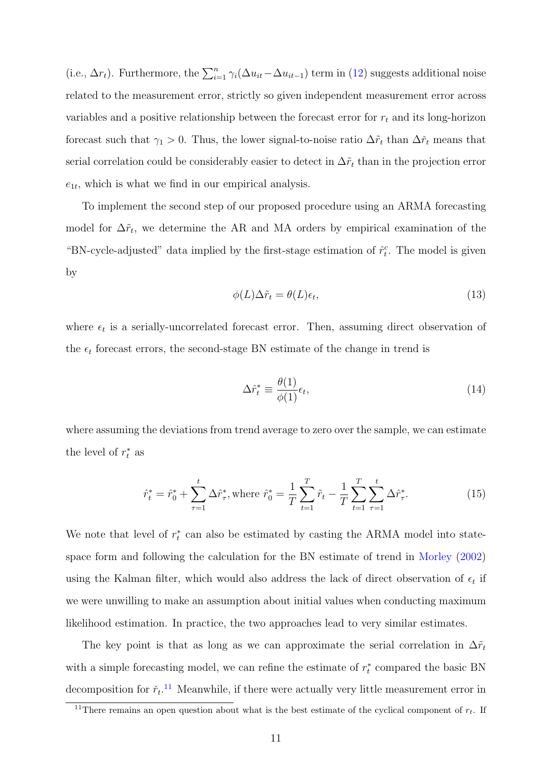(i.e.,  $\Delta r_t$ ). Furthermore, the  $\sum_{i=1}^n \gamma_i(\Delta u_{it}-\Delta u_{it-1})$  term in [\(12\)](#page-10-2) suggests additional noise related to the measurement error, strictly so given independent measurement error across variables and a positive relationship between the forecast error for  $r_t$  and its long-horizon forecast such that  $\gamma_1 > 0$ . Thus, the lower signal-to-noise ratio  $\Delta \tilde{r}_t$  than  $\Delta \tilde{r}_t$  means that serial correlation could be considerably easier to detect in  $\Delta \tilde{r}_t$  than in the projection error  $e_{1t}$ , which is what we find in our empirical analysis.

To implement the second step of our proposed procedure using an ARMA forecasting model for  $\Delta \tilde{r}_t$ , we determine the AR and MA orders by empirical examination of the "BN-cycle-adjusted" data implied by the first-stage estimation of  $\hat{r}_t^c$ . The model is given by

<span id="page-11-3"></span>
$$
\phi(L)\Delta\tilde{r}_t = \theta(L)\epsilon_t,\tag{13}
$$

where  $\epsilon_t$  is a serially-uncorrelated forecast error. Then, assuming direct observation of the  $\epsilon_t$  forecast errors, the second-stage BN estimate of the change in trend is

<span id="page-11-1"></span>
$$
\Delta \hat{r}_t^* \equiv \frac{\theta(1)}{\phi(1)} \epsilon_t,\tag{14}
$$

where assuming the deviations from trend average to zero over the sample, we can estimate the level of  $r_t^*$  as

<span id="page-11-2"></span>
$$
\hat{r}_t^* = \hat{r}_0^* + \sum_{\tau=1}^t \Delta \hat{r}_\tau^*, \text{where } \hat{r}_0^* = \frac{1}{T} \sum_{t=1}^T \tilde{r}_t - \frac{1}{T} \sum_{t=1}^T \sum_{\tau=1}^t \Delta \hat{r}_\tau^*.
$$
 (15)

We note that level of  $r_t^*$  can also be estimated by casting the ARMA model into statespace form and following the calculation for the BN estimate of trend in [Morley](#page-41-7) [\(2002\)](#page-41-7) using the Kalman filter, which would also address the lack of direct observation of  $\epsilon_t$  if we were unwilling to make an assumption about initial values when conducting maximum likelihood estimation. In practice, the two approaches lead to very similar estimates.

The key point is that as long as we can approximate the serial correlation in  $\Delta \tilde{r}_t$ with a simple forecasting model, we can refine the estimate of  $r_t^*$  compared the basic BN decomposition for  $\check{r}_t$ <sup>[11](#page-11-0)</sup>. Meanwhile, if there were actually very little measurement error in

<span id="page-11-0"></span><sup>&</sup>lt;sup>11</sup>There remains an open question about what is the best estimate of the cyclical component of  $r_t$ . If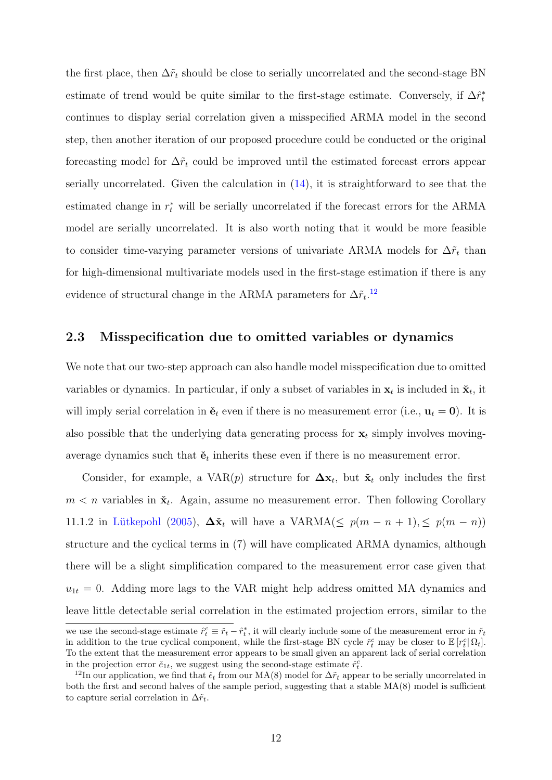the first place, then  $\Delta \tilde{r}_t$  should be close to serially uncorrelated and the second-stage BN estimate of trend would be quite similar to the first-stage estimate. Conversely, if  $\Delta \hat{r}_t^*$ continues to display serial correlation given a misspecified ARMA model in the second step, then another iteration of our proposed procedure could be conducted or the original forecasting model for  $\Delta \tilde{r}_t$  could be improved until the estimated forecast errors appear serially uncorrelated. Given the calculation in [\(14\)](#page-11-1), it is straightforward to see that the estimated change in  $r_t^*$  will be serially uncorrelated if the forecast errors for the ARMA model are serially uncorrelated. It is also worth noting that it would be more feasible to consider time-varying parameter versions of univariate ARMA models for  $\Delta \tilde{r}_t$  than for high-dimensional multivariate models used in the first-stage estimation if there is any evidence of structural change in the ARMA parameters for  $\Delta \tilde{r}_t$ <sup>[12](#page-12-0)</sup>

#### 2.3 Misspecification due to omitted variables or dynamics

We note that our two-step approach can also handle model misspecification due to omitted variables or dynamics. In particular, if only a subset of variables in  $\mathbf{x}_t$  is included in  $\check{\mathbf{x}}_t$ , it will imply serial correlation in  $\check{\mathbf{e}}_t$  even if there is no measurement error (i.e.,  $\mathbf{u}_t = \mathbf{0}$ ). It is also possible that the underlying data generating process for  $x_t$  simply involves movingaverage dynamics such that  $\check{\mathbf{e}}_t$  inherits these even if there is no measurement error.

Consider, for example, a VAR $(p)$  structure for  $\Delta x_t$ , but  $\check{x}_t$  only includes the first  $m < n$  variables in  $\check{\mathbf{x}}_t$ . Again, assume no measurement error. Then following Corollary 11.1.2 in Lütkepohl [\(2005\)](#page-41-8),  $\Delta \tilde{\mathbf{x}}_t$  will have a VARMA( $\leq p(m-n+1), \leq p(m-n)$ ) structure and the cyclical terms in (7) will have complicated ARMA dynamics, although there will be a slight simplification compared to the measurement error case given that  $u_{1t} = 0$ . Adding more lags to the VAR might help address omitted MA dynamics and leave little detectable serial correlation in the estimated projection errors, similar to the we use the second-stage estimate  $\hat{r}_t^c \equiv \check{r}_t - \hat{r}_t^*$ , it will clearly include some of the measurement error in  $\check{r}_t$ 

in addition to the true cyclical component, while the first-stage BN cycle  $\check{r}_t^c$  may be closer to  $\mathbb{E}[r_t^c|\Omega_t]$ . To the extent that the measurement error appears to be small given an apparent lack of serial correlation in the projection error  $\check{e}_{1t}$ , we suggest using the second-stage estimate  $\hat{r}_t^c$ .

<span id="page-12-0"></span><sup>&</sup>lt;sup>12</sup>In our application, we find that  $\hat{\epsilon}_t$  from our MA(8) model for  $\Delta \tilde{r}_t$  appear to be serially uncorrelated in both the first and second halves of the sample period, suggesting that a stable MA(8) model is sufficient to capture serial correlation in  $\Delta \tilde{r}_t$ .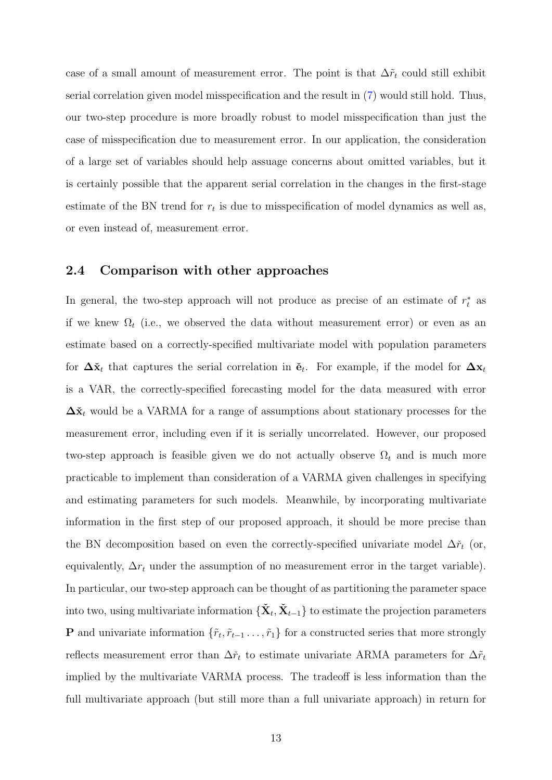case of a small amount of measurement error. The point is that  $\Delta \tilde{r}_t$  could still exhibit serial correlation given model misspecification and the result in [\(7\)](#page-8-1) would still hold. Thus, our two-step procedure is more broadly robust to model misspecification than just the case of misspecification due to measurement error. In our application, the consideration of a large set of variables should help assuage concerns about omitted variables, but it is certainly possible that the apparent serial correlation in the changes in the first-stage estimate of the BN trend for  $r_t$  is due to misspecification of model dynamics as well as, or even instead of, measurement error.

#### 2.4 Comparison with other approaches

In general, the two-step approach will not produce as precise of an estimate of  $r_t^*$  as if we knew  $\Omega_t$  (i.e., we observed the data without measurement error) or even as an estimate based on a correctly-specified multivariate model with population parameters for  $\Delta\mathbf{x}_t$  that captures the serial correlation in  $\mathbf{e}_t$ . For example, if the model for  $\Delta\mathbf{x}_t$ is a VAR, the correctly-specified forecasting model for the data measured with error  $\Delta\mathbf{\check{x}}_t$  would be a VARMA for a range of assumptions about stationary processes for the measurement error, including even if it is serially uncorrelated. However, our proposed two-step approach is feasible given we do not actually observe  $\Omega_t$  and is much more practicable to implement than consideration of a VARMA given challenges in specifying and estimating parameters for such models. Meanwhile, by incorporating multivariate information in the first step of our proposed approach, it should be more precise than the BN decomposition based on even the correctly-specified univariate model  $\Delta\check{r}_t$  (or, equivalently,  $\Delta r_t$  under the assumption of no measurement error in the target variable). In particular, our two-step approach can be thought of as partitioning the parameter space into two, using multivariate information  $\{\check{\mathbf{X}}_t,\check{\mathbf{X}}_{t-1}\}$  to estimate the projection parameters **P** and univariate information  $\{\tilde{r}_t, \tilde{r}_{t-1}, \ldots, \tilde{r}_1\}$  for a constructed series that more strongly reflects measurement error than  $\Delta r_t$  to estimate univariate ARMA parameters for  $\Delta \tilde{r}_t$ implied by the multivariate VARMA process. The tradeoff is less information than the full multivariate approach (but still more than a full univariate approach) in return for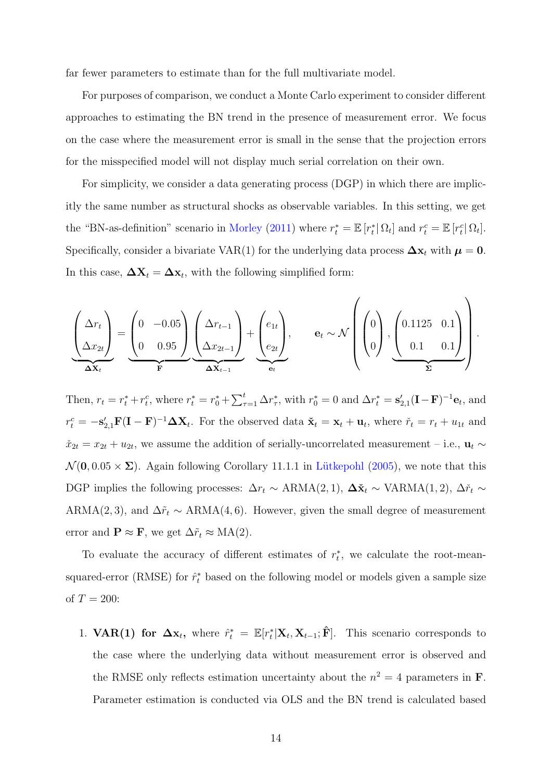far fewer parameters to estimate than for the full multivariate model.

For purposes of comparison, we conduct a Monte Carlo experiment to consider different approaches to estimating the BN trend in the presence of measurement error. We focus on the case where the measurement error is small in the sense that the projection errors for the misspecified model will not display much serial correlation on their own.

For simplicity, we consider a data generating process (DGP) in which there are implicitly the same number as structural shocks as observable variables. In this setting, we get the "BN-as-definition" scenario in [Morley](#page-42-6) [\(2011\)](#page-42-6) where  $r_t^* = \mathbb{E}[r_t^* | \Omega_t]$  and  $r_t^c = \mathbb{E}[r_t^c | \Omega_t]$ . Specifically, consider a bivariate VAR(1) for the underlying data process  $\Delta x_t$  with  $\mu = 0$ . In this case,  $\Delta X_t = \Delta x_t$ , with the following simplified form:

$$
\underline{\begin{pmatrix} \Delta r_t \\ \Delta x_{2t} \end{pmatrix}} = \underline{\begin{pmatrix} 0 & -0.05 \\ 0 & 0.95 \end{pmatrix}} \underline{\begin{pmatrix} \Delta r_{t-1} \\ \Delta x_{2t-1} \end{pmatrix}} + \underline{\begin{pmatrix} e_{1t} \\ e_{2t} \end{pmatrix}}, \qquad \mathbf{e}_t \sim \mathcal{N} \begin{pmatrix} 0 \\ 0 \\ 0 \end{pmatrix}, \underline{\begin{pmatrix} 0.1125 & 0.1 \\ 0.1 & 0.1 \end{pmatrix}}.
$$

Then,  $r_t = r_t^* + r_t^c$ , where  $r_t^* = r_0^* + \sum_{\tau=1}^t \Delta r_\tau^*$ , with  $r_0^* = 0$  and  $\Delta r_t^* = \mathbf{s}'_{2,1}(\mathbf{I} - \mathbf{F})^{-1} \mathbf{e}_t$ , and  $r_t^c = -\mathbf{s}'_{2,1}\mathbf{F}(\mathbf{I}-\mathbf{F})^{-1}\Delta \mathbf{X}_t$ . For the observed data  $\mathbf{\check{x}}_t = \mathbf{x}_t + \mathbf{u}_t$ , where  $\check{r}_t = r_t + u_{1t}$  and  $\check{x}_{2t} = x_{2t} + u_{2t}$ , we assume the addition of serially-uncorrelated measurement – i.e.,  $\mathbf{u}_t \sim$  $\mathcal{N}(\mathbf{0}, 0.05 \times \Sigma)$ . Again following Corollary 11.1.1 in Lütkepohl [\(2005\)](#page-41-8), we note that this DGP implies the following processes:  $\Delta r_t \sim \text{ARMA}(2, 1)$ ,  $\Delta \tilde{\mathbf{x}}_t \sim \text{VARMA}(1, 2)$ ,  $\Delta \tilde{r}_t \sim$ ARMA(2, 3), and  $\Delta \tilde{r}_t \sim \text{ARMA}(4, 6)$ . However, given the small degree of measurement error and  $\mathbf{P} \approx \mathbf{F}$ , we get  $\Delta \tilde{r}_t \approx MA(2)$ .

To evaluate the accuracy of different estimates of  $r_t^*$ , we calculate the root-meansquared-error (RMSE) for  $\hat{r}_t^*$  based on the following model or models given a sample size of  $T = 200$ :

1. **VAR(1)** for  $\Delta x_t$ , where  $\hat{r}_t^* = \mathbb{E}[r_t^* | \mathbf{X}_t, \mathbf{X}_{t-1}; \hat{\mathbf{F}}]$ . This scenario corresponds to the case where the underlying data without measurement error is observed and the RMSE only reflects estimation uncertainty about the  $n^2 = 4$  parameters in **F**. Parameter estimation is conducted via OLS and the BN trend is calculated based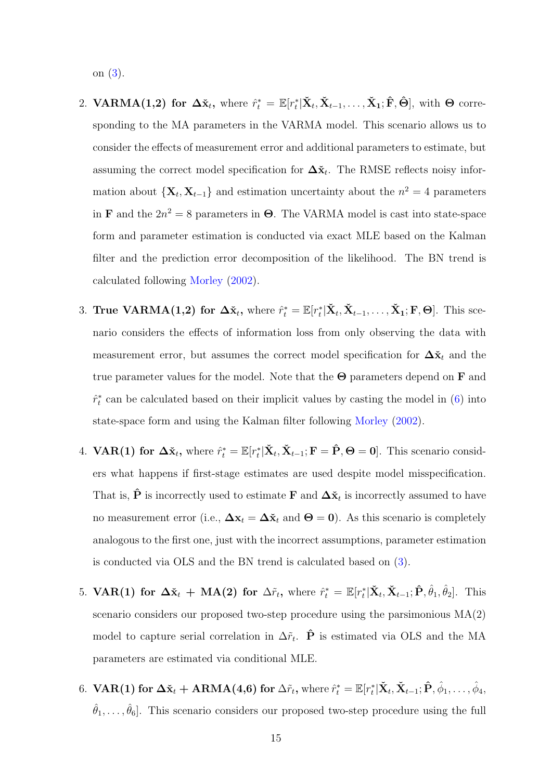on [\(3\)](#page-6-1).

- 2. VARMA(1,2) for  $\Delta \check{x}_t$ , where  $\hat{r}_t^* = \mathbb{E}[r_t^* | \check{X}_t, \check{X}_{t-1}, \ldots, \check{X}_1; \hat{F}, \hat{\Theta}]$ , with  $\Theta$  corresponding to the MA parameters in the VARMA model. This scenario allows us to consider the effects of measurement error and additional parameters to estimate, but assuming the correct model specification for  $\Delta \check{x}_t$ . The RMSE reflects noisy information about  $\{X_t, X_{t-1}\}\$ and estimation uncertainty about the  $n^2 = 4$  parameters in **F** and the  $2n^2 = 8$  parameters in **Θ**. The VARMA model is cast into state-space form and parameter estimation is conducted via exact MLE based on the Kalman filter and the prediction error decomposition of the likelihood. The BN trend is calculated following [Morley](#page-41-7) [\(2002\)](#page-41-7).
- 3. True VARMA(1,2) for  $\Delta \check{\mathbf{x}}_t$ , where  $\hat{r}_t^* = \mathbb{E}[r_t^* | \check{\mathbf{X}}_t, \check{\mathbf{X}}_{t-1}, \dots, \check{\mathbf{X}}_1; \mathbf{F}, \mathbf{\Theta}]$ . This scenario considers the effects of information loss from only observing the data with measurement error, but assumes the correct model specification for  $\Delta\tilde{\mathbf{x}}_t$  and the true parameter values for the model. Note that the  $\Theta$  parameters depend on **F** and  $\hat{r}_t^*$  can be calculated based on their implicit values by casting the model in [\(6\)](#page-8-2) into state-space form and using the Kalman filter following [Morley](#page-41-7) [\(2002\)](#page-41-7).
- 4. **VAR(1)** for  $\Delta \tilde{\mathbf{x}}_t$ , where  $\hat{r}_t^* = \mathbb{E}[r_t^* | \tilde{\mathbf{X}}_t, \tilde{\mathbf{X}}_{t-1}; \mathbf{F} = \hat{\mathbf{P}}, \Theta = 0]$ . This scenario considers what happens if first-stage estimates are used despite model misspecification. That is,  $\hat{P}$  is incorrectly used to estimate F and  $\Delta \check{x}_t$  is incorrectly assumed to have no measurement error (i.e.,  $\Delta \mathbf{x}_t = \Delta \tilde{\mathbf{x}}_t$  and  $\Theta = 0$ ). As this scenario is completely analogous to the first one, just with the incorrect assumptions, parameter estimation is conducted via OLS and the BN trend is calculated based on [\(3\)](#page-6-1).
- 5. VAR(1) for  $\Delta \tilde{\mathbf{x}}_t + \mathbf{M}\mathbf{A}(2)$  for  $\Delta \tilde{r}_t$ , where  $\hat{r}_t^* = \mathbb{E}[r_t^* | \check{\mathbf{X}}_t, \check{\mathbf{X}}_{t-1}; \hat{\mathbf{P}}, \hat{\theta}_1, \hat{\theta}_2]$ . This scenario considers our proposed two-step procedure using the parsimonious MA(2) model to capture serial correlation in  $\Delta \tilde{r}_t$ .  $\hat{P}$  is estimated via OLS and the MA parameters are estimated via conditional MLE.
- $\text{6. VAR}(1) \text{ for } \Delta \check{\mathbf{x}}_t + \text{ARMA}(4,6) \text{ for } \Delta \tilde{r}_t \text{, where } \hat{r}_t^* = \mathbb{E}[r_t^* | \check{\mathbf{X}}_t, \check{\mathbf{X}}_{t-1}; \hat{\mathbf{P}}, \hat{\phi}_1, \dots, \hat{\phi}_4,$  $\hat{\theta}_1, \ldots, \hat{\theta}_6$ . This scenario considers our proposed two-step procedure using the full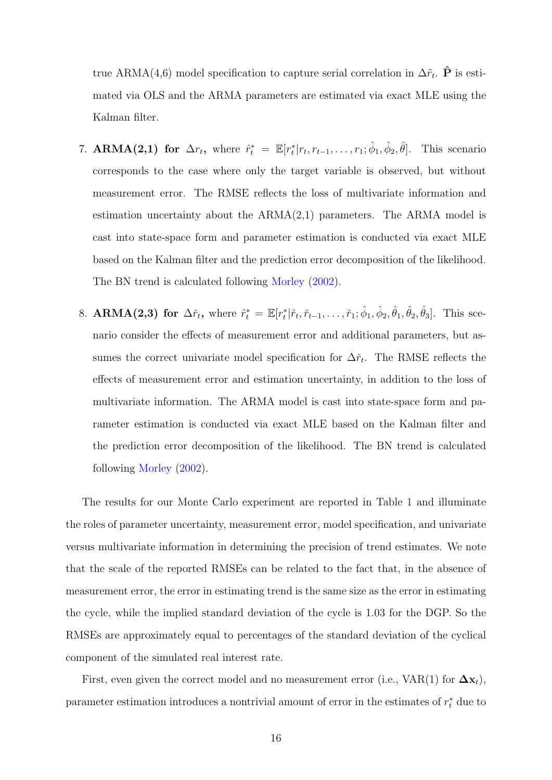true ARMA(4,6) model specification to capture serial correlation in  $\Delta \tilde{r}_t$ .  $\hat{P}$  is estimated via OLS and the ARMA parameters are estimated via exact MLE using the Kalman filter.

- 7. **ARMA(2,1)** for  $\Delta r_t$ , where  $\hat{r}_t^* = \mathbb{E}[r_t^*|r_t, r_{t-1}, \dots, r_1; \hat{\phi}_1, \hat{\phi}_2,$ This scenario corresponds to the case where only the target variable is observed, but without measurement error. The RMSE reflects the loss of multivariate information and estimation uncertainty about the ARMA(2,1) parameters. The ARMA model is cast into state-space form and parameter estimation is conducted via exact MLE based on the Kalman filter and the prediction error decomposition of the likelihood. The BN trend is calculated following [Morley](#page-41-7) [\(2002\)](#page-41-7).
- 8. **ARMA(2,3)** for  $\Delta \check{r}_t$ , where  $\hat{r}_t^* = \mathbb{E}[r_t^* | \check{r}_t, \check{r}_{t-1}, \dots, \check{r}_1; \hat{\phi}_1, \hat{\phi}_2, \hat{\theta}_1, \hat{\theta}_2, \hat{\theta}_3]$ . This scenario consider the effects of measurement error and additional parameters, but assumes the correct univariate model specification for  $\Delta \tilde{r}_t$ . The RMSE reflects the effects of measurement error and estimation uncertainty, in addition to the loss of multivariate information. The ARMA model is cast into state-space form and parameter estimation is conducted via exact MLE based on the Kalman filter and the prediction error decomposition of the likelihood. The BN trend is calculated following [Morley](#page-41-7) [\(2002\)](#page-41-7).

The results for our Monte Carlo experiment are reported in Table [1](#page-17-0) and illuminate the roles of parameter uncertainty, measurement error, model specification, and univariate versus multivariate information in determining the precision of trend estimates. We note that the scale of the reported RMSEs can be related to the fact that, in the absence of measurement error, the error in estimating trend is the same size as the error in estimating the cycle, while the implied standard deviation of the cycle is 1.03 for the DGP. So the RMSEs are approximately equal to percentages of the standard deviation of the cyclical component of the simulated real interest rate.

First, even given the correct model and no measurement error (i.e., VAR(1) for  $\Delta x_t$ ), parameter estimation introduces a nontrivial amount of error in the estimates of  $r_t^*$  due to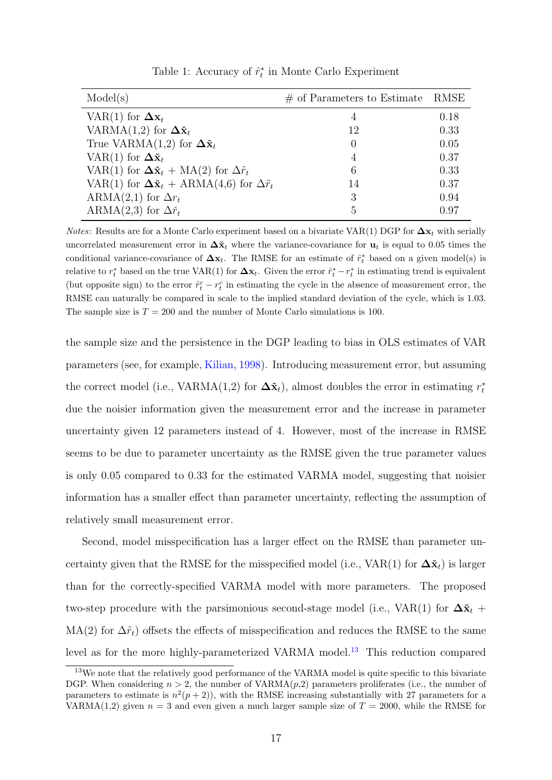<span id="page-17-0"></span>

| Model(s)                                                                      | $\#$ of Parameters to Estimate RMSE |      |
|-------------------------------------------------------------------------------|-------------------------------------|------|
| VAR(1) for $\Delta x_t$                                                       | $\overline{4}$                      | 0.18 |
| VARMA $(1,2)$ for $\Delta \tilde{\mathbf{x}}_t$                               | 12                                  | 0.33 |
| True VARMA(1,2) for $\Delta \tilde{\mathbf{x}}_t$                             | $\theta$                            | 0.05 |
| VAR(1) for $\Delta \check{\mathbf{x}}_t$                                      | 4                                   | 0.37 |
| VAR(1) for $\Delta \tilde{\mathbf{x}}_t + MA(2)$ for $\Delta \tilde{r}_t$     | 6                                   | 0.33 |
| VAR(1) for $\Delta \tilde{\mathbf{x}}_t$ + ARMA(4,6) for $\Delta \tilde{r}_t$ | 14                                  | 0.37 |
| ARMA(2,1) for $\Delta r_t$                                                    | 3                                   | 0.94 |
| ARMA(2,3) for $\Delta \check{r}_t$                                            | $\overline{5}$                      | 0.97 |

Table 1: Accuracy of  $\hat{r}_t^*$  in Monte Carlo Experiment

*Notes*: Results are for a Monte Carlo experiment based on a bivariate VAR(1) DGP for  $\Delta x_i$  with serially uncorrelated measurement error in  $\Delta\tilde{\mathbf{x}}_t$  where the variance-covariance for  $\mathbf{u}_t$  is equal to 0.05 times the conditional variance-covariance of  $\Delta x_t$ . The RMSE for an estimate of  $\hat{r}_t^*$  based on a given model(s) is relative to  $r_t^*$  based on the true VAR(1) for  $\Delta x_t$ . Given the error  $\hat{r}_t^* - r_t^*$  in estimating trend is equivalent (but opposite sign) to the error  $\hat{r}_t^c - r_t^c$  in estimating the cycle in the absence of measurement error, the RMSE can naturally be compared in scale to the implied standard deviation of the cycle, which is 1.03. The sample size is  $T = 200$  and the number of Monte Carlo simulations is 100.

the sample size and the persistence in the DGP leading to bias in OLS estimates of VAR parameters (see, for example, [Kilian,](#page-40-8) [1998\)](#page-40-8). Introducing measurement error, but assuming the correct model (i.e., VARMA(1,2) for  $\Delta \tilde{\mathbf{x}}_t$ ), almost doubles the error in estimating  $r_t^*$ due the noisier information given the measurement error and the increase in parameter uncertainty given 12 parameters instead of 4. However, most of the increase in RMSE seems to be due to parameter uncertainty as the RMSE given the true parameter values is only 0.05 compared to 0.33 for the estimated VARMA model, suggesting that noisier information has a smaller effect than parameter uncertainty, reflecting the assumption of relatively small measurement error.

Second, model misspecification has a larger effect on the RMSE than parameter uncertainty given that the RMSE for the misspecified model (i.e., VAR(1) for  $\Delta\tilde{\mathbf{x}}_t$ ) is larger than for the correctly-specified VARMA model with more parameters. The proposed two-step procedure with the parsimonious second-stage model (i.e., VAR(1) for  $\Delta \tilde{\mathbf{x}}_t$  + MA(2) for  $\Delta \tilde{r}_t$ ) offsets the effects of misspecification and reduces the RMSE to the same level as for the more highly-parameterized VARMA model.<sup>[13](#page-17-1)</sup> This reduction compared

<span id="page-17-1"></span><sup>&</sup>lt;sup>13</sup>We note that the relatively good performance of the VARMA model is quite specific to this bivariate DGP. When considering  $n > 2$ , the number of VARMA $(p, 2)$  parameters proliferates (i.e., the number of parameters to estimate is  $n^2(p+2)$ , with the RMSE increasing substantially with 27 parameters for a VARMA(1,2) given  $n = 3$  and even given a much larger sample size of  $T = 2000$ , while the RMSE for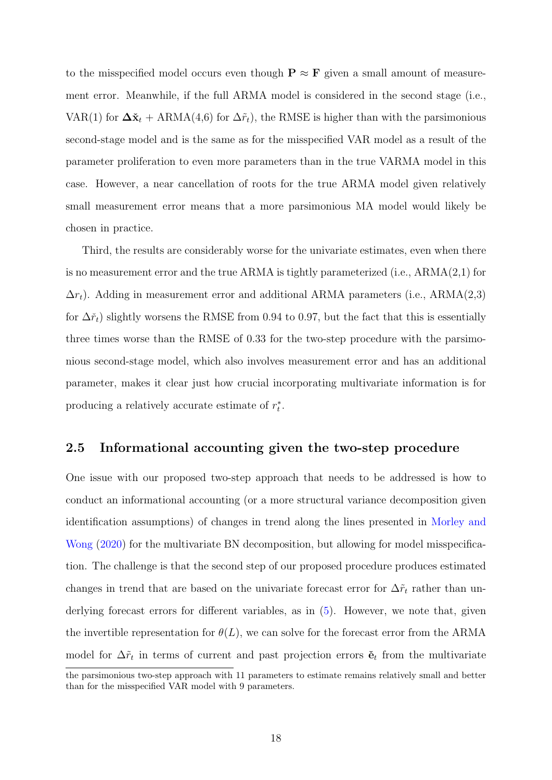to the misspecified model occurs even though  $P \approx F$  given a small amount of measurement error. Meanwhile, if the full ARMA model is considered in the second stage (i.e., VAR(1) for  $\Delta\tilde{\mathbf{x}}_t + \text{ARMA}(4,6)$  for  $\Delta\tilde{r}_t$ , the RMSE is higher than with the parsimonious second-stage model and is the same as for the misspecified VAR model as a result of the parameter proliferation to even more parameters than in the true VARMA model in this case. However, a near cancellation of roots for the true ARMA model given relatively small measurement error means that a more parsimonious MA model would likely be chosen in practice.

Third, the results are considerably worse for the univariate estimates, even when there is no measurement error and the true ARMA is tightly parameterized (i.e., ARMA(2,1) for  $\Delta r_t$ ). Adding in measurement error and additional ARMA parameters (i.e., ARMA(2,3) for  $\Delta\check{r}_t$ ) slightly worsens the RMSE from 0.94 to 0.97, but the fact that this is essentially three times worse than the RMSE of 0.33 for the two-step procedure with the parsimonious second-stage model, which also involves measurement error and has an additional parameter, makes it clear just how crucial incorporating multivariate information is for producing a relatively accurate estimate of  $r_t^*$ .

#### 2.5 Informational accounting given the two-step procedure

One issue with our proposed two-step approach that needs to be addressed is how to conduct an informational accounting (or a more structural variance decomposition given identification assumptions) of changes in trend along the lines presented in [Morley and](#page-41-3) [Wong](#page-41-3) [\(2020\)](#page-41-3) for the multivariate BN decomposition, but allowing for model misspecification. The challenge is that the second step of our proposed procedure produces estimated changes in trend that are based on the univariate forecast error for  $\Delta \tilde{r}_t$  rather than underlying forecast errors for different variables, as in [\(5\)](#page-7-0). However, we note that, given the invertible representation for  $\theta(L)$ , we can solve for the forecast error from the ARMA model for  $\Delta \tilde{r}_t$  in terms of current and past projection errors  $\tilde{\mathbf{e}}_t$  from the multivariate

the parsimonious two-step approach with 11 parameters to estimate remains relatively small and better than for the misspecified VAR model with 9 parameters.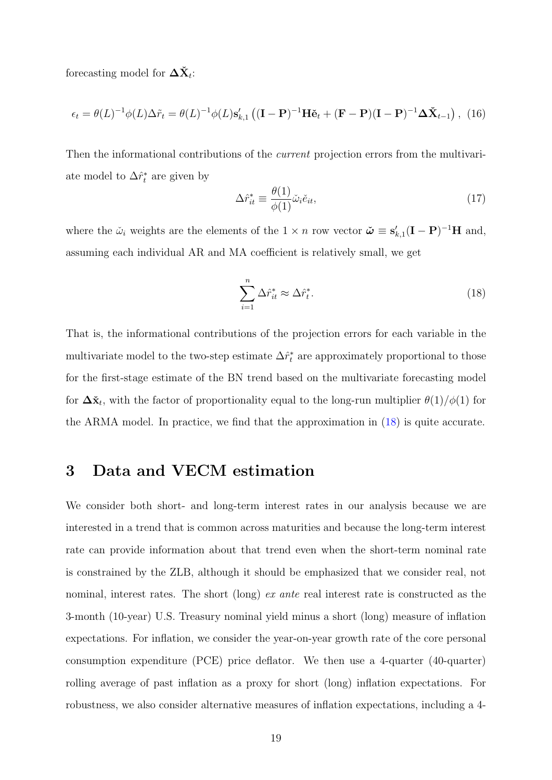forecasting model for  $\Delta \check{\mathbf{X}}_t$ :

$$
\epsilon_t = \theta(L)^{-1} \phi(L) \Delta \tilde{r}_t = \theta(L)^{-1} \phi(L) \mathbf{s}_{k,1}' \left( (\mathbf{I} - \mathbf{P})^{-1} \mathbf{H} \check{\mathbf{e}}_t + (\mathbf{F} - \mathbf{P}) (\mathbf{I} - \mathbf{P})^{-1} \Delta \check{\mathbf{X}}_{t-1} \right), (16)
$$

Then the informational contributions of the *current* projection errors from the multivariate model to  $\Delta \hat{r}_t^*$  are given by

<span id="page-19-1"></span>
$$
\Delta \hat{r}_{it}^{*} \equiv \frac{\theta(1)}{\phi(1)} \tilde{\omega}_{i} \tilde{e}_{it},\tag{17}
$$

where the  $\tilde{\omega}_i$  weights are the elements of the 1 × n row vector  $\tilde{\boldsymbol{\omega}} \equiv \mathbf{s}'_{k,1}(\mathbf{I} - \mathbf{P})^{-1}\mathbf{H}$  and, assuming each individual AR and MA coefficient is relatively small, we get

<span id="page-19-0"></span>
$$
\sum_{i=1}^{n} \Delta \hat{r}_{it}^{*} \approx \Delta \hat{r}_{t}^{*}.
$$
\n(18)

That is, the informational contributions of the projection errors for each variable in the multivariate model to the two-step estimate  $\Delta \hat{r}^*$  are approximately proportional to those for the first-stage estimate of the BN trend based on the multivariate forecasting model for  $\Delta\mathbf{x}_t$ , with the factor of proportionality equal to the long-run multiplier  $\theta(1)/\phi(1)$  for the ARMA model. In practice, we find that the approximation in [\(18\)](#page-19-0) is quite accurate.

## 3 Data and VECM estimation

We consider both short- and long-term interest rates in our analysis because we are interested in a trend that is common across maturities and because the long-term interest rate can provide information about that trend even when the short-term nominal rate is constrained by the ZLB, although it should be emphasized that we consider real, not nominal, interest rates. The short (long) ex ante real interest rate is constructed as the 3-month (10-year) U.S. Treasury nominal yield minus a short (long) measure of inflation expectations. For inflation, we consider the year-on-year growth rate of the core personal consumption expenditure (PCE) price deflator. We then use a 4-quarter (40-quarter) rolling average of past inflation as a proxy for short (long) inflation expectations. For robustness, we also consider alternative measures of inflation expectations, including a 4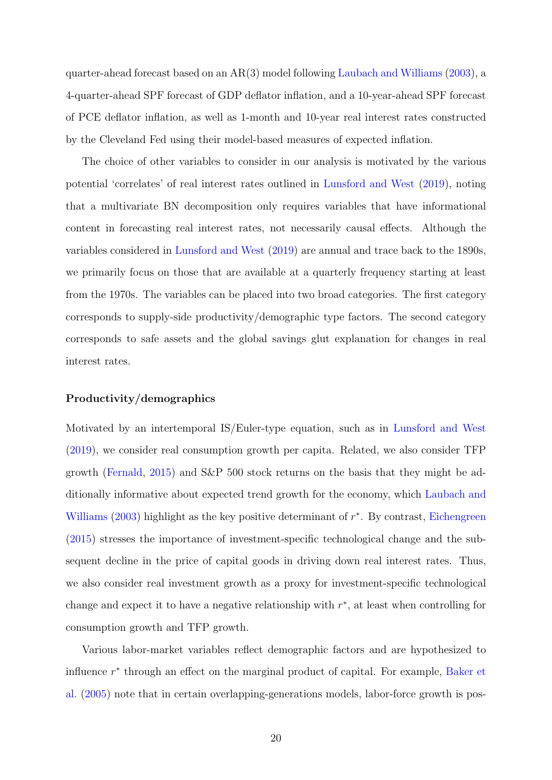quarter-ahead forecast based on an AR(3) model following [Laubach and Williams](#page-41-2) [\(2003\)](#page-41-2), a 4-quarter-ahead SPF forecast of GDP deflator inflation, and a 10-year-ahead SPF forecast of PCE deflator inflation, as well as 1-month and 10-year real interest rates constructed by the Cleveland Fed using their model-based measures of expected inflation.

The choice of other variables to consider in our analysis is motivated by the various potential 'correlates' of real interest rates outlined in [Lunsford and West](#page-41-4) [\(2019\)](#page-41-4), noting that a multivariate BN decomposition only requires variables that have informational content in forecasting real interest rates, not necessarily causal effects. Although the variables considered in [Lunsford and West](#page-41-4) [\(2019\)](#page-41-4) are annual and trace back to the 1890s, we primarily focus on those that are available at a quarterly frequency starting at least from the 1970s. The variables can be placed into two broad categories. The first category corresponds to supply-side productivity/demographic type factors. The second category corresponds to safe assets and the global savings glut explanation for changes in real interest rates.

#### Productivity/demographics

Motivated by an intertemporal IS/Euler-type equation, such as in [Lunsford and West](#page-41-4) [\(2019\)](#page-41-4), we consider real consumption growth per capita. Related, we also consider TFP growth [\(Fernald,](#page-39-3) [2015\)](#page-39-3) and S&P 500 stock returns on the basis that they might be additionally informative about expected trend growth for the economy, which [Laubach and](#page-41-2) [Williams](#page-41-2) [\(2003\)](#page-41-2) highlight as the key positive determinant of  $r^*$ . By contrast, [Eichengreen](#page-39-4) [\(2015\)](#page-39-4) stresses the importance of investment-specific technological change and the subsequent decline in the price of capital goods in driving down real interest rates. Thus, we also consider real investment growth as a proxy for investment-specific technological change and expect it to have a negative relationship with  $r^*$ , at least when controlling for consumption growth and TFP growth.

Various labor-market variables reflect demographic factors and are hypothesized to influence r ∗ through an effect on the marginal product of capital. For example, [Baker et](#page-38-4) [al.](#page-38-4) [\(2005\)](#page-38-4) note that in certain overlapping-generations models, labor-force growth is pos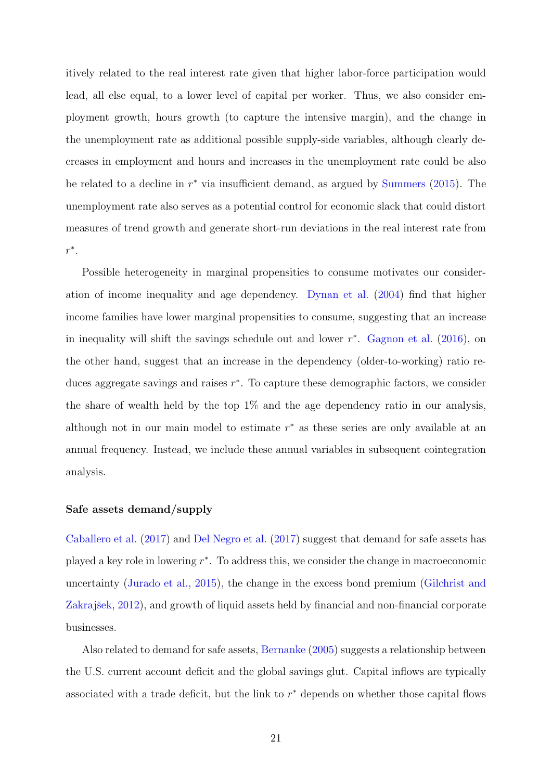itively related to the real interest rate given that higher labor-force participation would lead, all else equal, to a lower level of capital per worker. Thus, we also consider employment growth, hours growth (to capture the intensive margin), and the change in the unemployment rate as additional possible supply-side variables, although clearly decreases in employment and hours and increases in the unemployment rate could be also be related to a decline in  $r^*$  via insufficient demand, as argued by [Summers](#page-42-1) [\(2015\)](#page-42-1). The unemployment rate also serves as a potential control for economic slack that could distort measures of trend growth and generate short-run deviations in the real interest rate from  $r^*$ .

Possible heterogeneity in marginal propensities to consume motivates our consideration of income inequality and age dependency. [Dynan et al.](#page-39-5) [\(2004\)](#page-39-5) find that higher income families have lower marginal propensities to consume, suggesting that an increase in inequality will shift the savings schedule out and lower  $r^*$ . [Gagnon et al.](#page-39-6)  $(2016)$ , on the other hand, suggest that an increase in the dependency (older-to-working) ratio reduces aggregate savings and raises  $r^*$ . To capture these demographic factors, we consider the share of wealth held by the top  $1\%$  and the age dependency ratio in our analysis, although not in our main model to estimate  $r^*$  as these series are only available at an annual frequency. Instead, we include these annual variables in subsequent cointegration analysis.

#### Safe assets demand/supply

[Caballero et al.](#page-38-1) [\(2017\)](#page-38-1) and [Del Negro et al.](#page-42-0) [\(2017\)](#page-42-0) suggest that demand for safe assets has played a key role in lowering  $r^*$ . To address this, we consider the change in macroeconomic uncertainty [\(Jurado et al.,](#page-40-9) [2015\)](#page-40-9), the change in the excess bond premium [\(Gilchrist and](#page-39-7) Zakrajšek, [2012\)](#page-39-7), and growth of liquid assets held by financial and non-financial corporate businesses.

Also related to demand for safe assets, [Bernanke](#page-38-3) [\(2005\)](#page-38-3) suggests a relationship between the U.S. current account deficit and the global savings glut. Capital inflows are typically associated with a trade deficit, but the link to  $r^*$  depends on whether those capital flows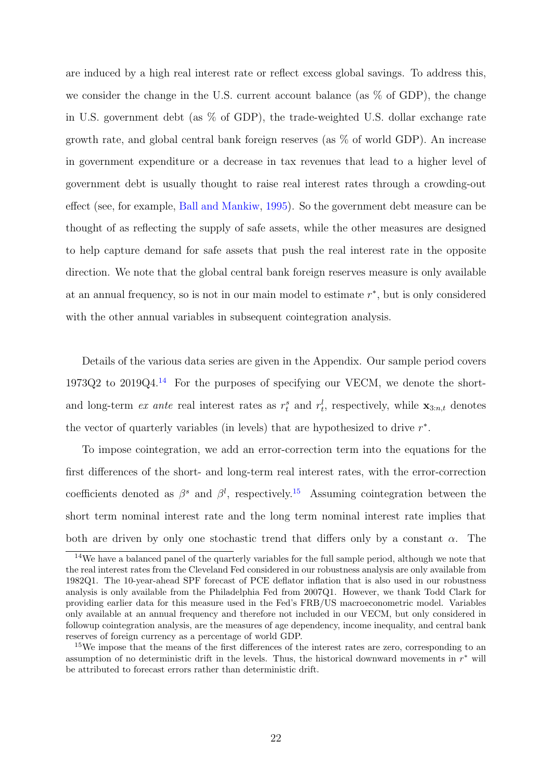are induced by a high real interest rate or reflect excess global savings. To address this, we consider the change in the U.S. current account balance (as  $\%$  of GDP), the change in U.S. government debt (as % of GDP), the trade-weighted U.S. dollar exchange rate growth rate, and global central bank foreign reserves (as % of world GDP). An increase in government expenditure or a decrease in tax revenues that lead to a higher level of government debt is usually thought to raise real interest rates through a crowding-out effect (see, for example, [Ball and Mankiw,](#page-38-5) [1995\)](#page-38-5). So the government debt measure can be thought of as reflecting the supply of safe assets, while the other measures are designed to help capture demand for safe assets that push the real interest rate in the opposite direction. We note that the global central bank foreign reserves measure is only available at an annual frequency, so is not in our main model to estimate  $r^*$ , but is only considered with the other annual variables in subsequent cointegration analysis.

Details of the various data series are given in the Appendix. Our sample period covers 1973Q2 to  $2019Q4<sup>14</sup>$  $2019Q4<sup>14</sup>$  $2019Q4<sup>14</sup>$  For the purposes of specifying our VECM, we denote the shortand long-term ex ante real interest rates as  $r_t^s$  and  $r_t^l$ , respectively, while  $\mathbf{x}_{3:n,t}$  denotes the vector of quarterly variables (in levels) that are hypothesized to drive  $r^*$ .

To impose cointegration, we add an error-correction term into the equations for the first differences of the short- and long-term real interest rates, with the error-correction coefficients denoted as  $\beta^s$  and  $\beta^l$ , respectively.<sup>[15](#page-22-1)</sup> Assuming cointegration between the short term nominal interest rate and the long term nominal interest rate implies that both are driven by only one stochastic trend that differs only by a constant  $\alpha$ . The

<span id="page-22-0"></span><sup>&</sup>lt;sup>14</sup>We have a balanced panel of the quarterly variables for the full sample period, although we note that the real interest rates from the Cleveland Fed considered in our robustness analysis are only available from 1982Q1. The 10-year-ahead SPF forecast of PCE deflator inflation that is also used in our robustness analysis is only available from the Philadelphia Fed from 2007Q1. However, we thank Todd Clark for providing earlier data for this measure used in the Fed's FRB/US macroeconometric model. Variables only available at an annual frequency and therefore not included in our VECM, but only considered in followup cointegration analysis, are the measures of age dependency, income inequality, and central bank reserves of foreign currency as a percentage of world GDP.

<span id="page-22-1"></span><sup>&</sup>lt;sup>15</sup>We impose that the means of the first differences of the interest rates are zero, corresponding to an assumption of no deterministic drift in the levels. Thus, the historical downward movements in  $r^*$  will be attributed to forecast errors rather than deterministic drift.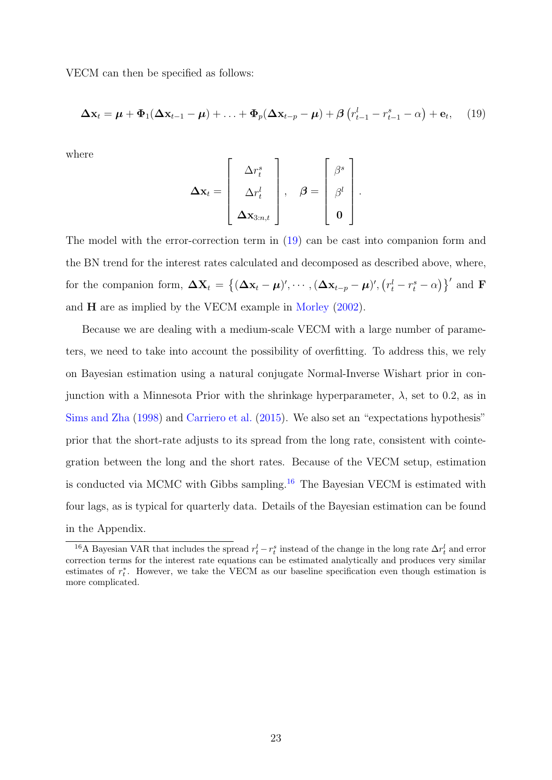VECM can then be specified as follows:

<span id="page-23-0"></span>
$$
\Delta \mathbf{x}_t = \boldsymbol{\mu} + \boldsymbol{\Phi}_1(\Delta \mathbf{x}_{t-1} - \boldsymbol{\mu}) + \ldots + \boldsymbol{\Phi}_p(\Delta \mathbf{x}_{t-p} - \boldsymbol{\mu}) + \boldsymbol{\beta} \left( r_{t-1}^l - r_{t-1}^s - \alpha \right) + \mathbf{e}_t, \quad (19)
$$

where

$$
\boldsymbol{\Delta} \mathbf{x}_t = \left[\begin{array}{c} \Delta r_t^s \\ \Delta r_t^l \\ \boldsymbol{\Delta} \mathbf{x}_{3:n,t} \end{array}\right], \quad \boldsymbol{\beta} = \left[\begin{array}{c} \beta^s \\ \beta^l \\ 0 \end{array}\right].
$$

The model with the error-correction term in [\(19\)](#page-23-0) can be cast into companion form and the BN trend for the interest rates calculated and decomposed as described above, where, for the companion form,  $\Delta \mathbf{X}_t = \{ (\Delta \mathbf{x}_t - \boldsymbol{\mu})', \cdots, (\Delta \mathbf{x}_{t-p} - \boldsymbol{\mu})', (r_t^l - r_t^s - \alpha) \}$  and **F** and H are as implied by the VECM example in [Morley](#page-41-7) [\(2002\)](#page-41-7).

Because we are dealing with a medium-scale VECM with a large number of parameters, we need to take into account the possibility of overfitting. To address this, we rely on Bayesian estimation using a natural conjugate Normal-Inverse Wishart prior in conjunction with a Minnesota Prior with the shrinkage hyperparameter,  $\lambda$ , set to 0.2, as in [Sims and Zha](#page-42-7) [\(1998\)](#page-42-7) and [Carriero et al.](#page-38-6) [\(2015\)](#page-38-6). We also set an "expectations hypothesis" prior that the short-rate adjusts to its spread from the long rate, consistent with cointegration between the long and the short rates. Because of the VECM setup, estimation is conducted via MCMC with Gibbs sampling.<sup>[16](#page-23-1)</sup> The Bayesian VECM is estimated with four lags, as is typical for quarterly data. Details of the Bayesian estimation can be found in the Appendix.

<span id="page-23-1"></span><sup>&</sup>lt;sup>16</sup>A Bayesian VAR that includes the spread  $r_t^l - r_t^s$  instead of the change in the long rate  $\Delta r_t^l$  and error correction terms for the interest rate equations can be estimated analytically and produces very similar estimates of  $r_t^*$ . However, we take the VECM as our baseline specification even though estimation is more complicated.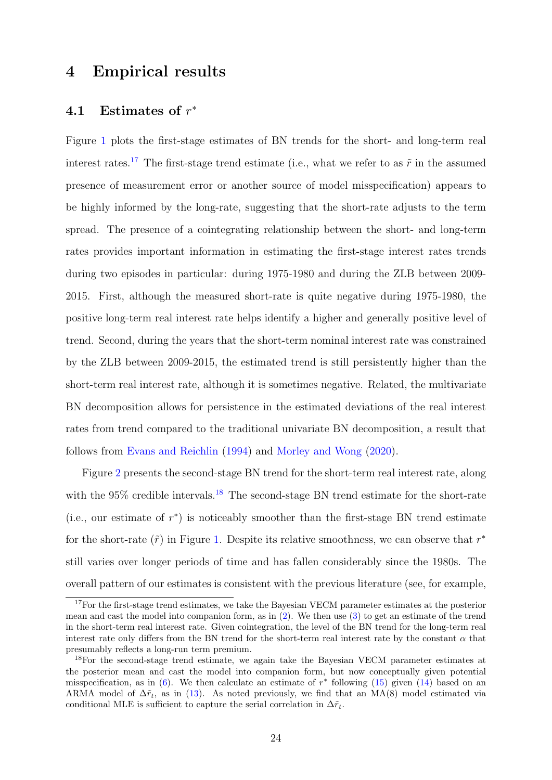## 4 Empirical results

## 4.1 Estimates of  $r^*$

Figure [1](#page-25-0) plots the first-stage estimates of BN trends for the short- and long-term real interest rates.<sup>[17](#page-24-0)</sup> The first-stage trend estimate (i.e., what we refer to as  $\tilde{r}$  in the assumed presence of measurement error or another source of model misspecification) appears to be highly informed by the long-rate, suggesting that the short-rate adjusts to the term spread. The presence of a cointegrating relationship between the short- and long-term rates provides important information in estimating the first-stage interest rates trends during two episodes in particular: during 1975-1980 and during the ZLB between 2009- 2015. First, although the measured short-rate is quite negative during 1975-1980, the positive long-term real interest rate helps identify a higher and generally positive level of trend. Second, during the years that the short-term nominal interest rate was constrained by the ZLB between 2009-2015, the estimated trend is still persistently higher than the short-term real interest rate, although it is sometimes negative. Related, the multivariate BN decomposition allows for persistence in the estimated deviations of the real interest rates from trend compared to the traditional univariate BN decomposition, a result that follows from [Evans and Reichlin](#page-39-2) [\(1994\)](#page-39-2) and [Morley and Wong](#page-41-3) [\(2020\)](#page-41-3).

Figure [2](#page-26-0) presents the second-stage BN trend for the short-term real interest rate, along with the  $95\%$  credible intervals.<sup>[18](#page-24-1)</sup> The second-stage BN trend estimate for the short-rate (i.e., our estimate of  $r^*$ ) is noticeably smoother than the first-stage BN trend estimate for the short-rate  $(\tilde{r})$  in Figure [1.](#page-25-0) Despite its relative smoothness, we can observe that  $r^*$ still varies over longer periods of time and has fallen considerably since the 1980s. The overall pattern of our estimates is consistent with the previous literature (see, for example,

<span id="page-24-0"></span><sup>&</sup>lt;sup>17</sup>For the first-stage trend estimates, we take the Bayesian VECM parameter estimates at the posterior mean and cast the model into companion form, as in [\(2\)](#page-6-0). We then use [\(3\)](#page-6-1) to get an estimate of the trend in the short-term real interest rate. Given cointegration, the level of the BN trend for the long-term real interest rate only differs from the BN trend for the short-term real interest rate by the constant  $\alpha$  that presumably reflects a long-run term premium.

<span id="page-24-1"></span><sup>18</sup>For the second-stage trend estimate, we again take the Bayesian VECM parameter estimates at the posterior mean and cast the model into companion form, but now conceptually given potential misspecification, as in  $(6)$ . We then calculate an estimate of  $r^*$  following  $(15)$  given  $(14)$  based on an ARMA model of  $\Delta \tilde{r}_t$ , as in [\(13\)](#page-11-3). As noted previously, we find that an MA(8) model estimated via conditional MLE is sufficient to capture the serial correlation in  $\Delta \tilde{r}_t$ .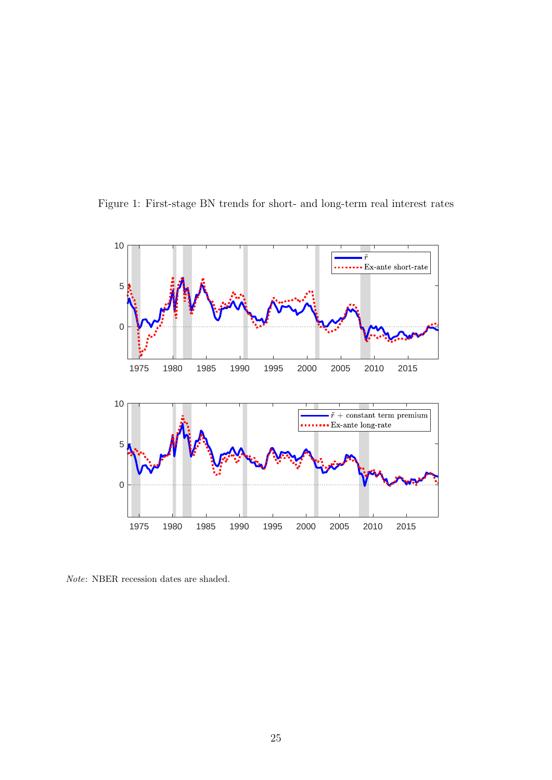<span id="page-25-0"></span>



Note: NBER recession dates are shaded.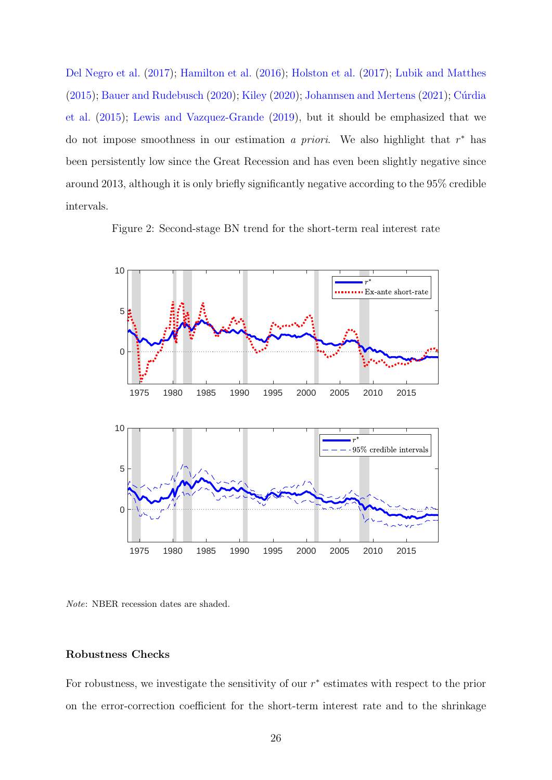[Del Negro et al.](#page-42-0) [\(2017\)](#page-42-0); [Hamilton et al.](#page-40-0) [\(2016\)](#page-40-0); [Holston et al.](#page-40-1) [\(2017\)](#page-40-1); [Lubik and Matthes](#page-41-0)  $(2015)$ ; [Bauer and Rudebusch](#page-38-0)  $(2020)$ ; [Kiley](#page-40-2)  $(2020)$ ; [Johannsen and Mertens](#page-40-3)  $(2021)$ ; Cúrdia [et al.](#page-39-0) [\(2015\)](#page-39-0); [Lewis and Vazquez-Grande](#page-41-1) [\(2019\)](#page-41-1), but it should be emphasized that we do not impose smoothness in our estimation a priori. We also highlight that  $r^*$  has been persistently low since the Great Recession and has even been slightly negative since around 2013, although it is only briefly significantly negative according to the 95% credible intervals.

<span id="page-26-0"></span>Figure 2: Second-stage BN trend for the short-term real interest rate



Note: NBER recession dates are shaded.

#### Robustness Checks

For robustness, we investigate the sensitivity of our  $r^*$  estimates with respect to the prior on the error-correction coefficient for the short-term interest rate and to the shrinkage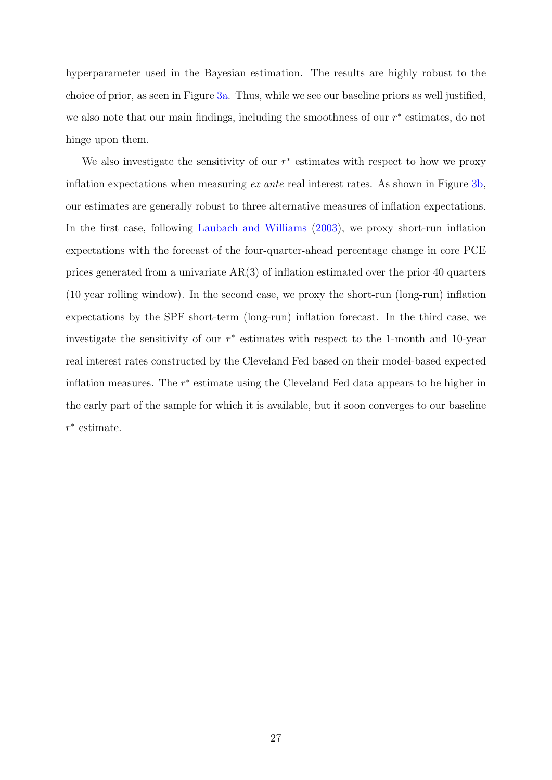hyperparameter used in the Bayesian estimation. The results are highly robust to the choice of prior, as seen in Figure [3a.](#page-28-0) Thus, while we see our baseline priors as well justified, we also note that our main findings, including the smoothness of our  $r^*$  estimates, do not hinge upon them.

We also investigate the sensitivity of our  $r^*$  estimates with respect to how we proxy inflation expectations when measuring  $ex$  ante real interest rates. As shown in Figure [3b,](#page-28-0) our estimates are generally robust to three alternative measures of inflation expectations. In the first case, following [Laubach and Williams](#page-41-2) [\(2003\)](#page-41-2), we proxy short-run inflation expectations with the forecast of the four-quarter-ahead percentage change in core PCE prices generated from a univariate AR(3) of inflation estimated over the prior 40 quarters (10 year rolling window). In the second case, we proxy the short-run (long-run) inflation expectations by the SPF short-term (long-run) inflation forecast. In the third case, we investigate the sensitivity of our  $r^*$  estimates with respect to the 1-month and 10-year real interest rates constructed by the Cleveland Fed based on their model-based expected inflation measures. The  $r^*$  estimate using the Cleveland Fed data appears to be higher in the early part of the sample for which it is available, but it soon converges to our baseline r ∗ estimate.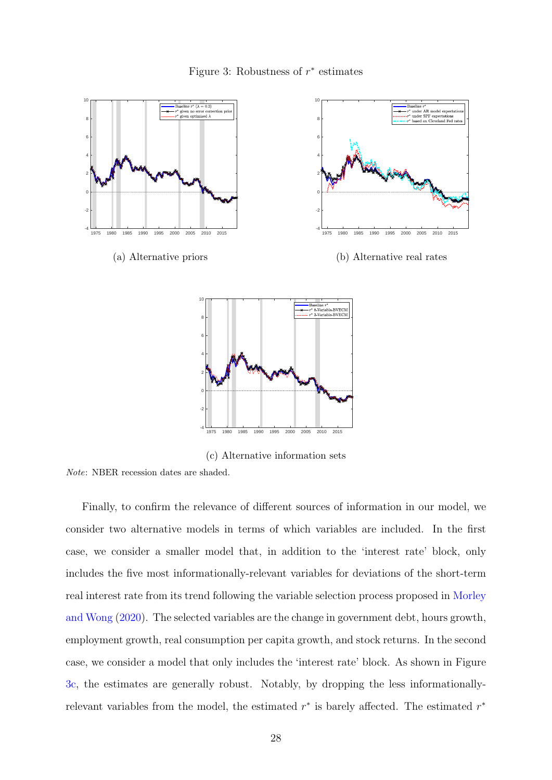

<span id="page-28-0"></span>

(c) Alternative information sets

Note: NBER recession dates are shaded.

Finally, to confirm the relevance of different sources of information in our model, we consider two alternative models in terms of which variables are included. In the first case, we consider a smaller model that, in addition to the 'interest rate' block, only includes the five most informationally-relevant variables for deviations of the short-term real interest rate from its trend following the variable selection process proposed in [Morley](#page-41-3) [and Wong](#page-41-3) [\(2020\)](#page-41-3). The selected variables are the change in government debt, hours growth, employment growth, real consumption per capita growth, and stock returns. In the second case, we consider a model that only includes the 'interest rate' block. As shown in Figure [3c,](#page-28-0) the estimates are generally robust. Notably, by dropping the less informationallyrelevant variables from the model, the estimated  $r^*$  is barely affected. The estimated  $r^*$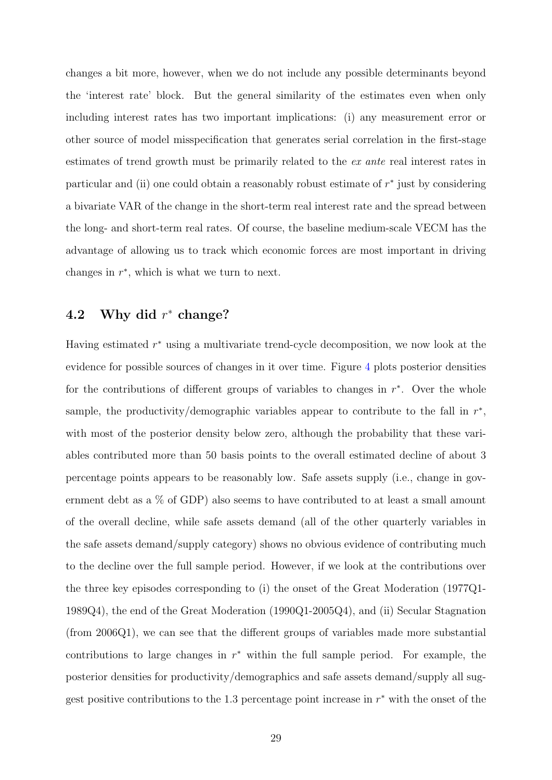changes a bit more, however, when we do not include any possible determinants beyond the 'interest rate' block. But the general similarity of the estimates even when only including interest rates has two important implications: (i) any measurement error or other source of model misspecification that generates serial correlation in the first-stage estimates of trend growth must be primarily related to the ex ante real interest rates in particular and (ii) one could obtain a reasonably robust estimate of  $r^*$  just by considering a bivariate VAR of the change in the short-term real interest rate and the spread between the long- and short-term real rates. Of course, the baseline medium-scale VECM has the advantage of allowing us to track which economic forces are most important in driving changes in  $r^*$ , which is what we turn to next.

## 4.2 Why did  $r^*$  change?

Having estimated  $r^*$  using a multivariate trend-cycle decomposition, we now look at the evidence for possible sources of changes in it over time. Figure [4](#page-30-0) plots posterior densities for the contributions of different groups of variables to changes in  $r^*$ . Over the whole sample, the productivity/demographic variables appear to contribute to the fall in  $r^*$ , with most of the posterior density below zero, although the probability that these variables contributed more than 50 basis points to the overall estimated decline of about 3 percentage points appears to be reasonably low. Safe assets supply (i.e., change in government debt as a % of GDP) also seems to have contributed to at least a small amount of the overall decline, while safe assets demand (all of the other quarterly variables in the safe assets demand/supply category) shows no obvious evidence of contributing much to the decline over the full sample period. However, if we look at the contributions over the three key episodes corresponding to (i) the onset of the Great Moderation (1977Q1- 1989Q4), the end of the Great Moderation (1990Q1-2005Q4), and (ii) Secular Stagnation (from 2006Q1), we can see that the different groups of variables made more substantial contributions to large changes in  $r^*$  within the full sample period. For example, the posterior densities for productivity/demographics and safe assets demand/supply all suggest positive contributions to the 1.3 percentage point increase in  $r^*$  with the onset of the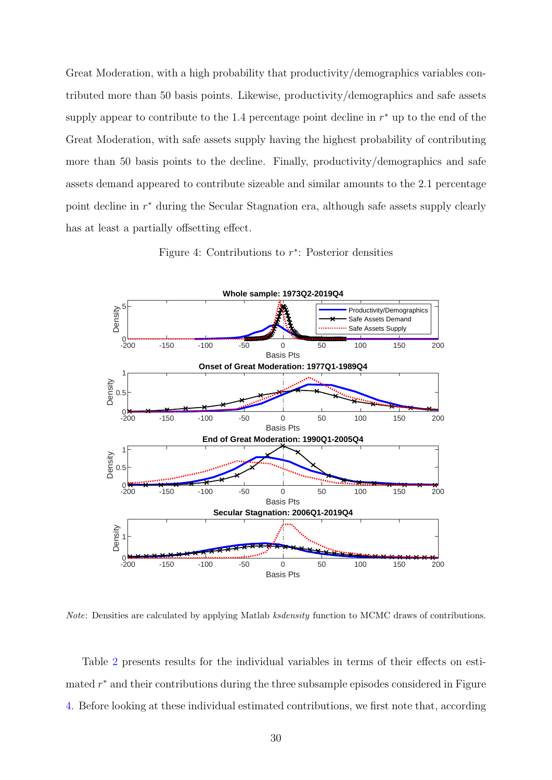Great Moderation, with a high probability that productivity/demographics variables contributed more than 50 basis points. Likewise, productivity/demographics and safe assets supply appear to contribute to the 1.4 percentage point decline in  $r^*$  up to the end of the Great Moderation, with safe assets supply having the highest probability of contributing more than 50 basis points to the decline. Finally, productivity/demographics and safe assets demand appeared to contribute sizeable and similar amounts to the 2.1 percentage point decline in  $r^*$  during the Secular Stagnation era, although safe assets supply clearly has at least a partially offsetting effect.

Figure 4: Contributions to  $r^*$ : Posterior densities

<span id="page-30-0"></span>

Note: Densities are calculated by applying Matlab ksdensity function to MCMC draws of contributions.

Table [2](#page-32-0) presents results for the individual variables in terms of their effects on estimated  $r^*$  and their contributions during the three subsample episodes considered in Figure [4.](#page-30-0) Before looking at these individual estimated contributions, we first note that, according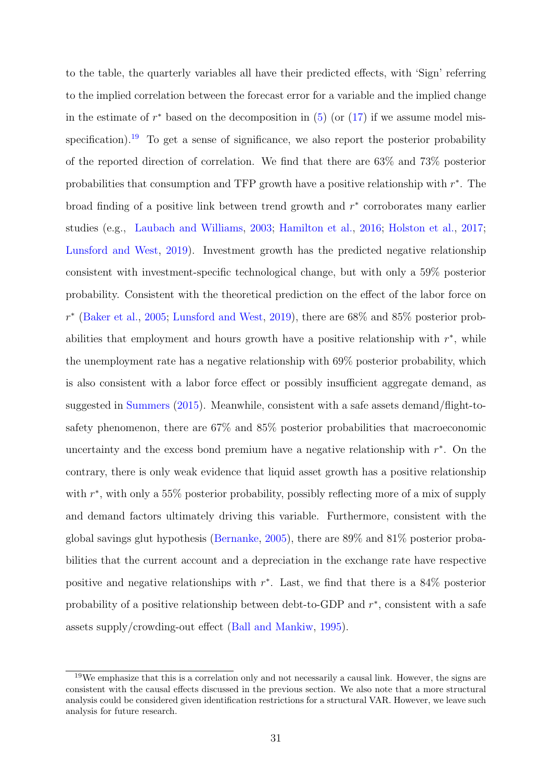to the table, the quarterly variables all have their predicted effects, with 'Sign' referring to the implied correlation between the forecast error for a variable and the implied change in the estimate of  $r^*$  based on the decomposition in  $(5)$  (or  $(17)$ ) if we assume model mis-specification).<sup>[19](#page-31-0)</sup> To get a sense of significance, we also report the posterior probability of the reported direction of correlation. We find that there are 63% and 73% posterior probabilities that consumption and TFP growth have a positive relationship with  $r^*$ . The broad finding of a positive link between trend growth and  $r^*$  corroborates many earlier studies (e.g., [Laubach and Williams,](#page-41-2) [2003;](#page-41-2) [Hamilton et al.,](#page-40-0) [2016;](#page-40-0) [Holston et al.,](#page-40-1) [2017;](#page-40-1) [Lunsford and West,](#page-41-4) [2019\)](#page-41-4). Investment growth has the predicted negative relationship consistent with investment-specific technological change, but with only a 59% posterior probability. Consistent with the theoretical prediction on the effect of the labor force on  $r^*$  [\(Baker et al.,](#page-38-4) [2005;](#page-38-4) [Lunsford and West,](#page-41-4) [2019\)](#page-41-4), there are 68% and 85% posterior probabilities that employment and hours growth have a positive relationship with  $r^*$ , while the unemployment rate has a negative relationship with 69% posterior probability, which is also consistent with a labor force effect or possibly insufficient aggregate demand, as suggested in [Summers](#page-42-1) [\(2015\)](#page-42-1). Meanwhile, consistent with a safe assets demand/flight-tosafety phenomenon, there are 67% and 85% posterior probabilities that macroeconomic uncertainty and the excess bond premium have a negative relationship with  $r^*$ . On the contrary, there is only weak evidence that liquid asset growth has a positive relationship with  $r^*$ , with only a 55% posterior probability, possibly reflecting more of a mix of supply and demand factors ultimately driving this variable. Furthermore, consistent with the global savings glut hypothesis [\(Bernanke,](#page-38-3) [2005\)](#page-38-3), there are 89% and 81% posterior probabilities that the current account and a depreciation in the exchange rate have respective positive and negative relationships with  $r^*$ . Last, we find that there is a 84% posterior probability of a positive relationship between debt-to-GDP and  $r^*$ , consistent with a safe assets supply/crowding-out effect [\(Ball and Mankiw,](#page-38-5) [1995\)](#page-38-5).

<span id="page-31-0"></span><sup>19</sup>We emphasize that this is a correlation only and not necessarily a causal link. However, the signs are consistent with the causal effects discussed in the previous section. We also note that a more structural analysis could be considered given identification restrictions for a structural VAR. However, we leave such analysis for future research.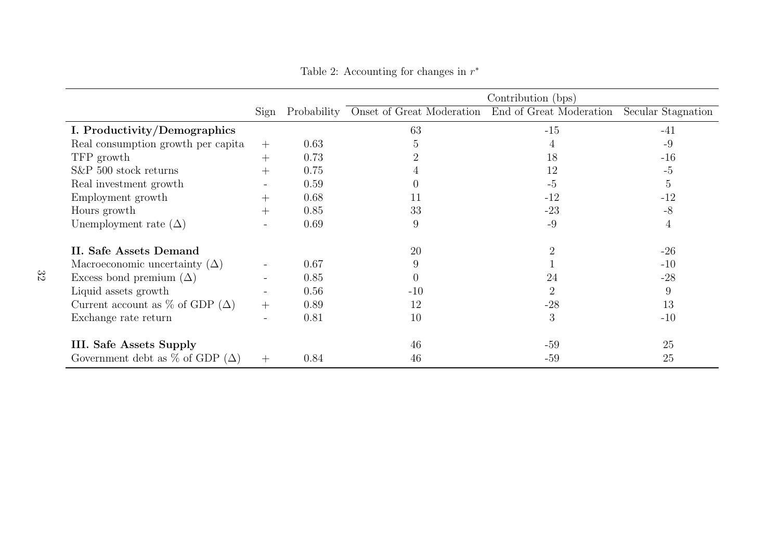|                                        |        | Contribution (bps) |                                       |                         |                    |
|----------------------------------------|--------|--------------------|---------------------------------------|-------------------------|--------------------|
|                                        | Sign   |                    | Probability Onset of Great Moderation | End of Great Moderation | Secular Stagnation |
| I. Productivity/Demographics           |        |                    | 63                                    | $-15$                   | $-41$              |
| Real consumption growth per capita     | $+$    | 0.63               | $\sigma$                              |                         | $-9$               |
| TFP growth                             | $^+$   | 0.73               | $\overline{2}$                        | 18                      | $-16$              |
| $S\&P 500$ stock returns               | $^{+}$ | 0.75               |                                       | 12                      | $-5$               |
| Real investment growth                 |        | 0.59               |                                       | $-5$                    | 5                  |
| Employment growth                      | $+$    | 0.68               | 11                                    | $-12$                   | $-12$              |
| Hours growth                           | $^{+}$ | 0.85               | 33                                    | $-23$                   | $-8$               |
| Unemployment rate $(\Delta)$           |        | 0.69               | 9                                     | $-9$                    | 4                  |
| II. Safe Assets Demand                 |        |                    | 20                                    |                         | $-26$              |
| Macroeconomic uncertainty $(\Delta)$   |        | 0.67               | 9                                     |                         | $-10$              |
| Excess bond premium $(\Delta)$         |        | 0.85               | $\theta$                              | 24                      | $-28$              |
| Liquid assets growth                   |        | 0.56               | $-10$                                 |                         | 9                  |
| Current account as % of GDP $(\Delta)$ | $^{+}$ | 0.89               | 12                                    | $-28$                   | 13                 |
| Exchange rate return                   |        | 0.81               | 10                                    | 3                       | $-10$              |
| III. Safe Assets Supply                |        |                    | 46                                    | $-59$                   | 25                 |
| Government debt as % of GDP $(\Delta)$ | $^{+}$ | 0.84               | 46                                    | $-59$                   | 25                 |

<span id="page-32-0"></span>Table 2: Accounting for changes in  $r^*$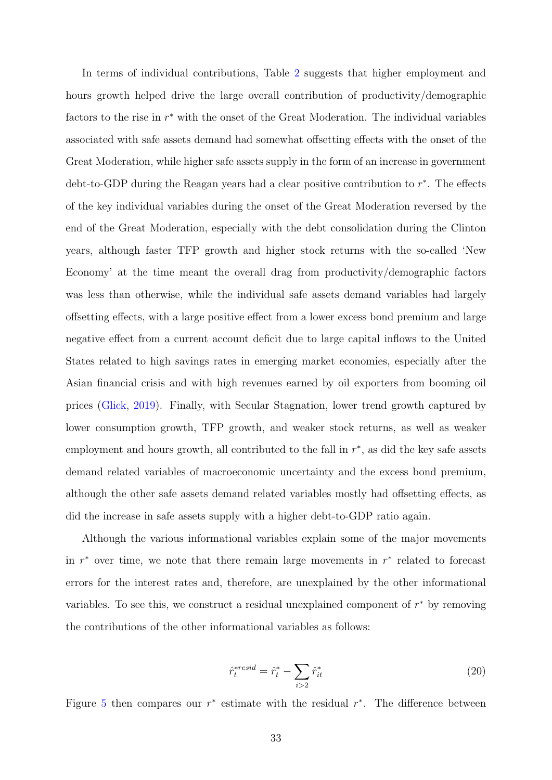In terms of individual contributions, Table [2](#page-32-0) suggests that higher employment and hours growth helped drive the large overall contribution of productivity/demographic factors to the rise in  $r^*$  with the onset of the Great Moderation. The individual variables associated with safe assets demand had somewhat offsetting effects with the onset of the Great Moderation, while higher safe assets supply in the form of an increase in government debt-to-GDP during the Reagan years had a clear positive contribution to  $r^*$ . The effects of the key individual variables during the onset of the Great Moderation reversed by the end of the Great Moderation, especially with the debt consolidation during the Clinton years, although faster TFP growth and higher stock returns with the so-called 'New Economy' at the time meant the overall drag from productivity/demographic factors was less than otherwise, while the individual safe assets demand variables had largely offsetting effects, with a large positive effect from a lower excess bond premium and large negative effect from a current account deficit due to large capital inflows to the United States related to high savings rates in emerging market economies, especially after the Asian financial crisis and with high revenues earned by oil exporters from booming oil prices [\(Glick,](#page-39-8) [2019\)](#page-39-8). Finally, with Secular Stagnation, lower trend growth captured by lower consumption growth, TFP growth, and weaker stock returns, as well as weaker employment and hours growth, all contributed to the fall in  $r^*$ , as did the key safe assets demand related variables of macroeconomic uncertainty and the excess bond premium, although the other safe assets demand related variables mostly had offsetting effects, as did the increase in safe assets supply with a higher debt-to-GDP ratio again.

Although the various informational variables explain some of the major movements in  $r^*$  over time, we note that there remain large movements in  $r^*$  related to forecast errors for the interest rates and, therefore, are unexplained by the other informational variables. To see this, we construct a residual unexplained component of  $r^*$  by removing the contributions of the other informational variables as follows:

$$
\hat{r}_t^{*resid} = \hat{r}_t^* - \sum_{i>2} \hat{r}_{it}^* \tag{20}
$$

Figure [5](#page-34-0) then compares our  $r^*$  estimate with the residual  $r^*$ . The difference between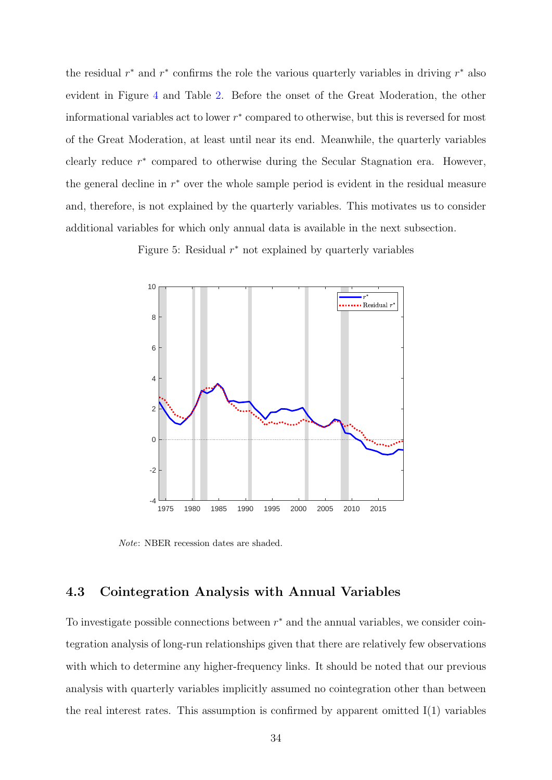the residual  $r^*$  and  $r^*$  confirms the role the various quarterly variables in driving  $r^*$  also evident in Figure [4](#page-30-0) and Table [2.](#page-32-0) Before the onset of the Great Moderation, the other informational variables act to lower  $r^*$  compared to otherwise, but this is reversed for most of the Great Moderation, at least until near its end. Meanwhile, the quarterly variables clearly reduce  $r^*$  compared to otherwise during the Secular Stagnation era. However, the general decline in  $r^*$  over the whole sample period is evident in the residual measure and, therefore, is not explained by the quarterly variables. This motivates us to consider additional variables for which only annual data is available in the next subsection.

<span id="page-34-0"></span>Figure 5: Residual  $r^*$  not explained by quarterly variables



Note: NBER recession dates are shaded.

### 4.3 Cointegration Analysis with Annual Variables

To investigate possible connections between  $r^*$  and the annual variables, we consider cointegration analysis of long-run relationships given that there are relatively few observations with which to determine any higher-frequency links. It should be noted that our previous analysis with quarterly variables implicitly assumed no cointegration other than between the real interest rates. This assumption is confirmed by apparent omitted  $I(1)$  variables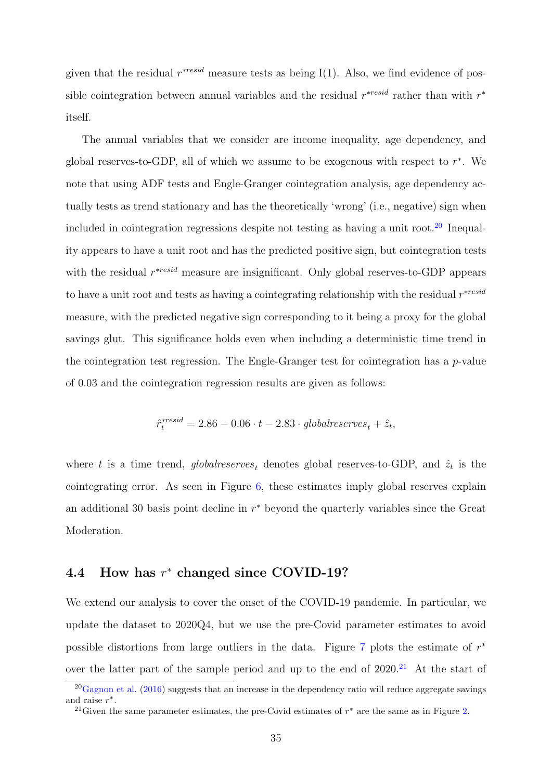given that the residual  $r^{*resid}$  measure tests as being I(1). Also, we find evidence of possible cointegration between annual variables and the residual  $r^{*resid}$  rather than with  $r^*$ itself.

The annual variables that we consider are income inequality, age dependency, and global reserves-to-GDP, all of which we assume to be exogenous with respect to  $r^*$ . We note that using ADF tests and Engle-Granger cointegration analysis, age dependency actually tests as trend stationary and has the theoretically 'wrong' (i.e., negative) sign when included in cointegration regressions despite not testing as having a unit root.<sup>[20](#page-35-0)</sup> Inequality appears to have a unit root and has the predicted positive sign, but cointegration tests with the residual  $r^{*resid}$  measure are insignificant. Only global reserves-to-GDP appears to have a unit root and tests as having a cointegrating relationship with the residual  $r^{*resid}$ measure, with the predicted negative sign corresponding to it being a proxy for the global savings glut. This significance holds even when including a deterministic time trend in the cointegration test regression. The Engle-Granger test for cointegration has a  $p$ -value of 0.03 and the cointegration regression results are given as follows:

$$
\hat{r}_t^{sresid} = 2.86 - 0.06 \cdot t - 2.83 \cdot globalreserves_t + \hat{z}_t,
$$

where t is a time trend, global reserves<sub>t</sub> denotes global reserves-to-GDP, and  $\hat{z}_t$  is the cointegrating error. As seen in Figure [6,](#page-36-0) these estimates imply global reserves explain an additional 30 basis point decline in  $r^*$  beyond the quarterly variables since the Great Moderation.

## 4.4 How has  $r^*$  changed since COVID-19?

We extend our analysis to cover the onset of the COVID-19 pandemic. In particular, we update the dataset to 2020Q4, but we use the pre-Covid parameter estimates to avoid possible distortions from large outliers in the data. Figure  $7$  plots the estimate of  $r^*$ over the latter part of the sample period and up to the end of 2020.<sup>[21](#page-35-1)</sup> At the start of

<span id="page-35-0"></span> $20Gagnon$  et al.  $(2016)$  suggests that an increase in the dependency ratio will reduce aggregate savings and raise  $r^*$ .

<span id="page-35-1"></span><sup>&</sup>lt;sup>21</sup>Given the same parameter estimates, the pre-Covid estimates of  $r^*$  are the same as in Figure [2.](#page-26-0)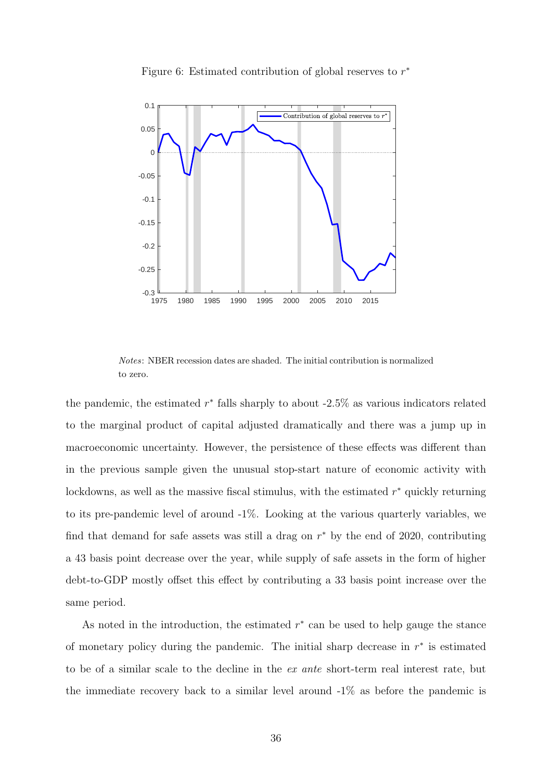<span id="page-36-0"></span>

Figure 6: Estimated contribution of global reserves to  $r^*$ 

Notes: NBER recession dates are shaded. The initial contribution is normalized to zero.

the pandemic, the estimated  $r^*$  falls sharply to about -2.5% as various indicators related to the marginal product of capital adjusted dramatically and there was a jump up in macroeconomic uncertainty. However, the persistence of these effects was different than in the previous sample given the unusual stop-start nature of economic activity with lockdowns, as well as the massive fiscal stimulus, with the estimated  $r^*$  quickly returning to its pre-pandemic level of around -1%. Looking at the various quarterly variables, we find that demand for safe assets was still a drag on  $r^*$  by the end of 2020, contributing a 43 basis point decrease over the year, while supply of safe assets in the form of higher debt-to-GDP mostly offset this effect by contributing a 33 basis point increase over the same period.

As noted in the introduction, the estimated  $r^*$  can be used to help gauge the stance of monetary policy during the pandemic. The initial sharp decrease in  $r^*$  is estimated to be of a similar scale to the decline in the ex ante short-term real interest rate, but the immediate recovery back to a similar level around  $-1\%$  as before the pandemic is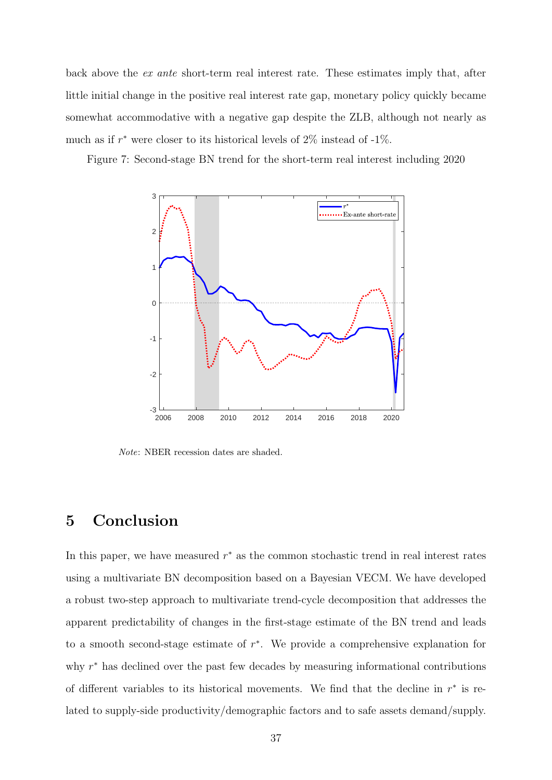back above the ex ante short-term real interest rate. These estimates imply that, after little initial change in the positive real interest rate gap, monetary policy quickly became somewhat accommodative with a negative gap despite the ZLB, although not nearly as much as if  $r^*$  were closer to its historical levels of 2% instead of -1%.

<span id="page-37-0"></span>Figure 7: Second-stage BN trend for the short-term real interest including 2020



Note: NBER recession dates are shaded.

## 5 Conclusion

In this paper, we have measured  $r^*$  as the common stochastic trend in real interest rates using a multivariate BN decomposition based on a Bayesian VECM. We have developed a robust two-step approach to multivariate trend-cycle decomposition that addresses the apparent predictability of changes in the first-stage estimate of the BN trend and leads to a smooth second-stage estimate of  $r^*$ . We provide a comprehensive explanation for why  $r^*$  has declined over the past few decades by measuring informational contributions of different variables to its historical movements. We find that the decline in  $r^*$  is related to supply-side productivity/demographic factors and to safe assets demand/supply.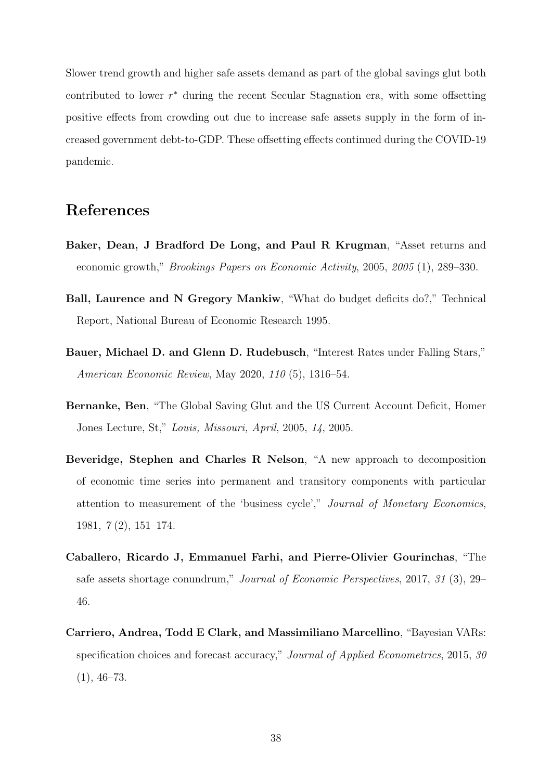Slower trend growth and higher safe assets demand as part of the global savings glut both contributed to lower  $r^*$  during the recent Secular Stagnation era, with some offsetting positive effects from crowding out due to increase safe assets supply in the form of increased government debt-to-GDP. These offsetting effects continued during the COVID-19 pandemic.

## References

- <span id="page-38-4"></span>Baker, Dean, J Bradford De Long, and Paul R Krugman, "Asset returns and economic growth," Brookings Papers on Economic Activity, 2005, 2005 (1), 289–330.
- <span id="page-38-5"></span>Ball, Laurence and N Gregory Mankiw, "What do budget deficits do?," Technical Report, National Bureau of Economic Research 1995.
- <span id="page-38-0"></span>Bauer, Michael D. and Glenn D. Rudebusch, "Interest Rates under Falling Stars," American Economic Review, May 2020, 110 (5), 1316–54.
- <span id="page-38-3"></span>Bernanke, Ben, "The Global Saving Glut and the US Current Account Deficit, Homer Jones Lecture, St," Louis, Missouri, April, 2005, 14, 2005.
- <span id="page-38-2"></span>Beveridge, Stephen and Charles R Nelson, "A new approach to decomposition of economic time series into permanent and transitory components with particular attention to measurement of the 'business cycle'," Journal of Monetary Economics, 1981, 7 (2), 151–174.
- <span id="page-38-1"></span>Caballero, Ricardo J, Emmanuel Farhi, and Pierre-Olivier Gourinchas, "The safe assets shortage conundrum," Journal of Economic Perspectives, 2017, 31 (3), 29– 46.
- <span id="page-38-6"></span>Carriero, Andrea, Todd E Clark, and Massimiliano Marcellino, "Bayesian VARs: specification choices and forecast accuracy," Journal of Applied Econometrics, 2015, 30  $(1), 46-73.$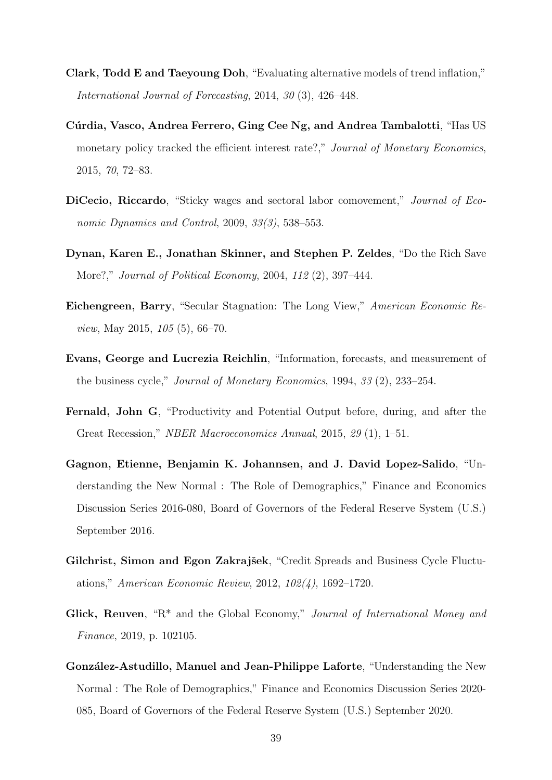- Clark, Todd E and Taeyoung Doh, "Evaluating alternative models of trend inflation," International Journal of Forecasting, 2014, 30 (3), 426–448.
- <span id="page-39-0"></span>Cúrdia, Vasco, Andrea Ferrero, Ging Cee Ng, and Andrea Tambalotti, "Has US monetary policy tracked the efficient interest rate?," Journal of Monetary Economics, 2015, 70, 72–83.
- DiCecio, Riccardo, "Sticky wages and sectoral labor comovement," Journal of Economic Dynamics and Control, 2009, 33(3), 538–553.
- <span id="page-39-5"></span>Dynan, Karen E., Jonathan Skinner, and Stephen P. Zeldes, "Do the Rich Save More?," Journal of Political Economy, 2004, 112 (2), 397–444.
- <span id="page-39-4"></span>Eichengreen, Barry, "Secular Stagnation: The Long View," American Economic Review, May 2015, 105 (5), 66–70.
- <span id="page-39-2"></span>Evans, George and Lucrezia Reichlin, "Information, forecasts, and measurement of the business cycle," Journal of Monetary Economics, 1994, 33 (2), 233–254.
- <span id="page-39-3"></span>Fernald, John G, "Productivity and Potential Output before, during, and after the Great Recession," NBER Macroeconomics Annual, 2015, 29 (1), 1–51.
- <span id="page-39-6"></span>Gagnon, Etienne, Benjamin K. Johannsen, and J. David Lopez-Salido, "Understanding the New Normal : The Role of Demographics," Finance and Economics Discussion Series 2016-080, Board of Governors of the Federal Reserve System (U.S.) September 2016.
- <span id="page-39-7"></span>Gilchrist, Simon and Egon Zakrajšek, "Credit Spreads and Business Cycle Fluctuations," American Economic Review, 2012, 102(4), 1692–1720.
- <span id="page-39-8"></span>Glick, Reuven, "R<sup>\*</sup> and the Global Economy," Journal of International Money and Finance, 2019, p. 102105.
- <span id="page-39-1"></span>González-Astudillo, Manuel and Jean-Philippe Laforte, "Understanding the New Normal : The Role of Demographics," Finance and Economics Discussion Series 2020- 085, Board of Governors of the Federal Reserve System (U.S.) September 2020.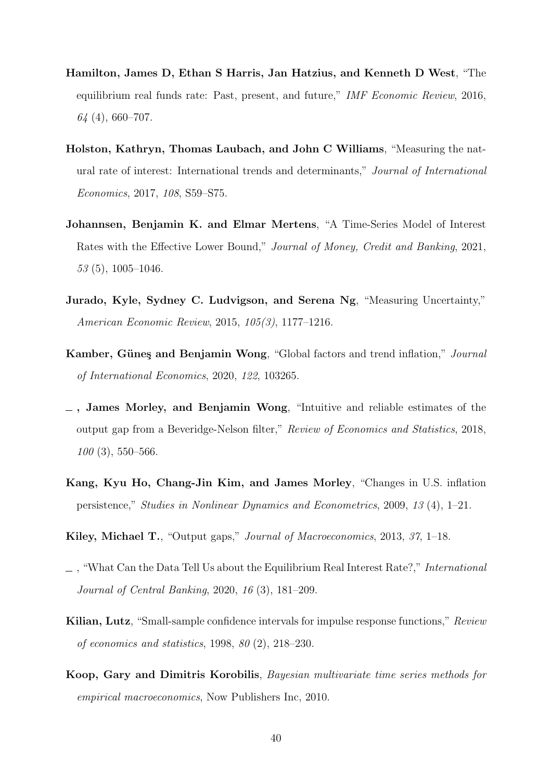- <span id="page-40-0"></span>Hamilton, James D, Ethan S Harris, Jan Hatzius, and Kenneth D West, "The equilibrium real funds rate: Past, present, and future," IMF Economic Review, 2016, 64 (4), 660–707.
- <span id="page-40-1"></span>Holston, Kathryn, Thomas Laubach, and John C Williams, "Measuring the natural rate of interest: International trends and determinants," Journal of International Economics, 2017, 108, S59–S75.
- <span id="page-40-3"></span>Johannsen, Benjamin K. and Elmar Mertens, "A Time-Series Model of Interest Rates with the Effective Lower Bound," Journal of Money, Credit and Banking, 2021, 53 (5), 1005–1046.
- <span id="page-40-9"></span>Jurado, Kyle, Sydney C. Ludvigson, and Serena Ng, "Measuring Uncertainty," American Economic Review, 2015, 105(3), 1177–1216.
- <span id="page-40-6"></span>Kamber, Güneş and Benjamin Wong, "Global factors and trend inflation," Journal of International Economics, 2020, 122, 103265.
- <span id="page-40-5"></span> $\sim$ , James Morley, and Benjamin Wong, "Intuitive and reliable estimates of the output gap from a Beveridge-Nelson filter," Review of Economics and Statistics, 2018, 100 (3), 550–566.
- <span id="page-40-4"></span>Kang, Kyu Ho, Chang-Jin Kim, and James Morley, "Changes in U.S. inflation persistence," Studies in Nonlinear Dynamics and Econometrics, 2009, 13 (4), 1–21.
- <span id="page-40-7"></span>Kiley, Michael T., "Output gaps," Journal of Macroeconomics, 2013, 37, 1–18.
- <span id="page-40-2"></span>, "What Can the Data Tell Us about the Equilibrium Real Interest Rate?," International Journal of Central Banking, 2020, 16 (3), 181–209.
- <span id="page-40-8"></span>Kilian, Lutz, "Small-sample confidence intervals for impulse response functions," Review of economics and statistics, 1998, 80 (2), 218–230.
- <span id="page-40-10"></span>Koop, Gary and Dimitris Korobilis, Bayesian multivariate time series methods for empirical macroeconomics, Now Publishers Inc, 2010.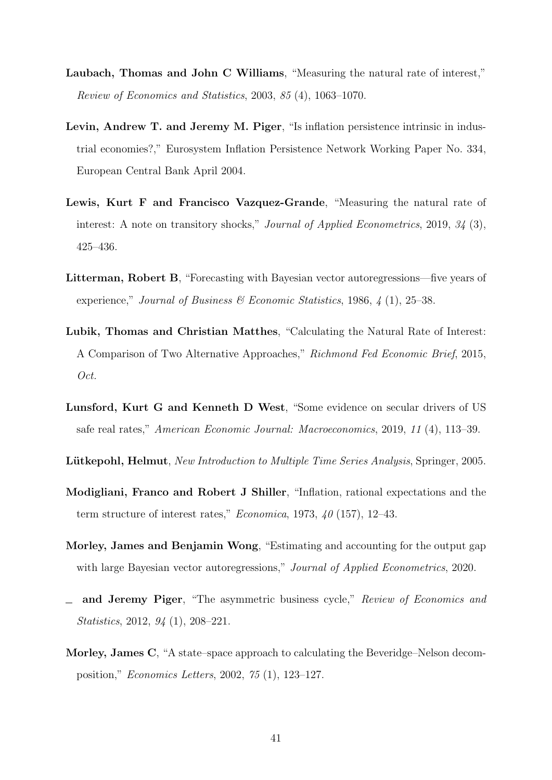- <span id="page-41-2"></span>Laubach, Thomas and John C Williams, "Measuring the natural rate of interest," Review of Economics and Statistics, 2003, 85 (4), 1063–1070.
- <span id="page-41-5"></span>Levin, Andrew T. and Jeremy M. Piger, "Is inflation persistence intrinsic in industrial economies?," Eurosystem Inflation Persistence Network Working Paper No. 334, European Central Bank April 2004.
- <span id="page-41-1"></span>Lewis, Kurt F and Francisco Vazquez-Grande, "Measuring the natural rate of interest: A note on transitory shocks," *Journal of Applied Econometrics*, 2019, 34 (3), 425–436.
- <span id="page-41-9"></span>Litterman, Robert B, "Forecasting with Bayesian vector autoregressions—five years of experience," Journal of Business & Economic Statistics, 1986,  $\lambda$  (1), 25–38.
- <span id="page-41-0"></span>Lubik, Thomas and Christian Matthes, "Calculating the Natural Rate of Interest: A Comparison of Two Alternative Approaches," Richmond Fed Economic Brief, 2015, Oct.
- <span id="page-41-4"></span>Lunsford, Kurt G and Kenneth D West, "Some evidence on secular drivers of US safe real rates," American Economic Journal: Macroeconomics, 2019, 11 (4), 113–39.
- <span id="page-41-8"></span>Lütkepohl, Helmut, New Introduction to Multiple Time Series Analysis, Springer, 2005.
- <span id="page-41-10"></span>Modigliani, Franco and Robert J Shiller, "Inflation, rational expectations and the term structure of interest rates," *Economica*, 1973,  $40$  (157), 12–43.
- <span id="page-41-3"></span>Morley, James and Benjamin Wong, "Estimating and accounting for the output gap with large Bayesian vector autoregressions," *Journal of Applied Econometrics*, 2020.
- <span id="page-41-6"></span>and Jeremy Piger, "The asymmetric business cycle," Review of Economics and Statistics, 2012, 94 (1), 208–221.
- <span id="page-41-7"></span>Morley, James C, "A state–space approach to calculating the Beveridge–Nelson decomposition," Economics Letters, 2002, 75 (1), 123–127.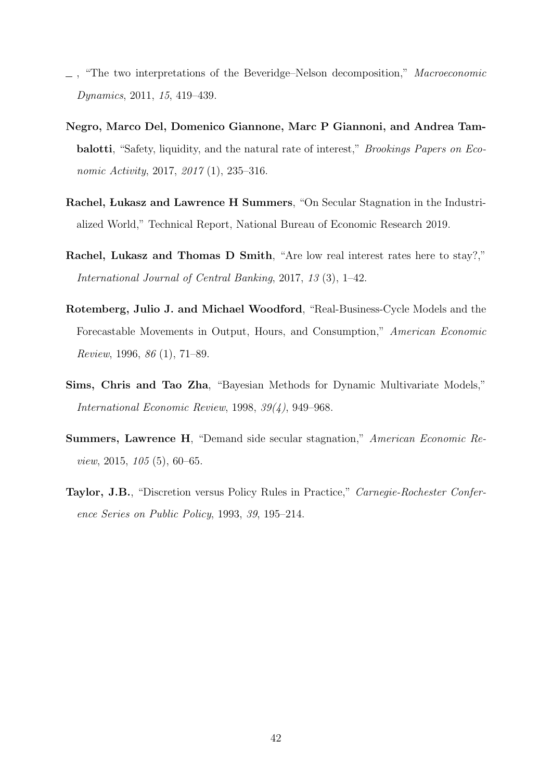- <span id="page-42-6"></span> $\Box$ , "The two interpretations of the Beveridge–Nelson decomposition," *Macroeconomic* Dynamics, 2011, 15, 419–439.
- <span id="page-42-0"></span>Negro, Marco Del, Domenico Giannone, Marc P Giannoni, and Andrea Tambalotti, "Safety, liquidity, and the natural rate of interest," Brookings Papers on Economic Activity, 2017, 2017 (1), 235–316.
- <span id="page-42-4"></span>Rachel, Lukasz and Lawrence H Summers, "On Secular Stagnation in the Industrialized World," Technical Report, National Bureau of Economic Research 2019.
- <span id="page-42-3"></span>Rachel, Lukasz and Thomas D Smith, "Are low real interest rates here to stay?," International Journal of Central Banking, 2017, 13 (3), 1–42.
- <span id="page-42-5"></span>Rotemberg, Julio J. and Michael Woodford, "Real-Business-Cycle Models and the Forecastable Movements in Output, Hours, and Consumption," American Economic Review, 1996, 86 (1), 71–89.
- <span id="page-42-7"></span>Sims, Chris and Tao Zha, "Bayesian Methods for Dynamic Multivariate Models," International Economic Review, 1998, 39(4), 949–968.
- <span id="page-42-1"></span>Summers, Lawrence H, "Demand side secular stagnation," American Economic Review, 2015, 105 (5), 60–65.
- <span id="page-42-2"></span>Taylor, J.B., "Discretion versus Policy Rules in Practice," Carnegie-Rochester Conference Series on Public Policy, 1993, 39, 195–214.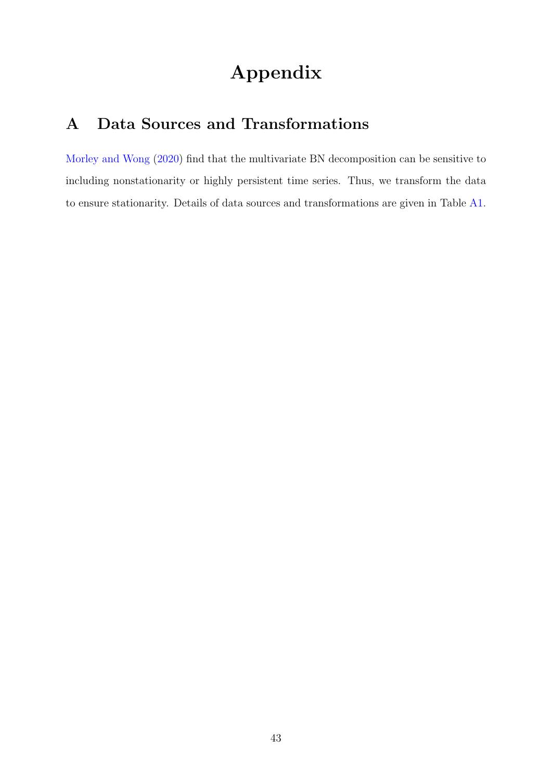## Appendix

## A Data Sources and Transformations

[Morley and Wong](#page-41-3) [\(2020\)](#page-41-3) find that the multivariate BN decomposition can be sensitive to including nonstationarity or highly persistent time series. Thus, we transform the data to ensure stationarity. Details of data sources and transformations are given in Table [A1.](#page-44-0)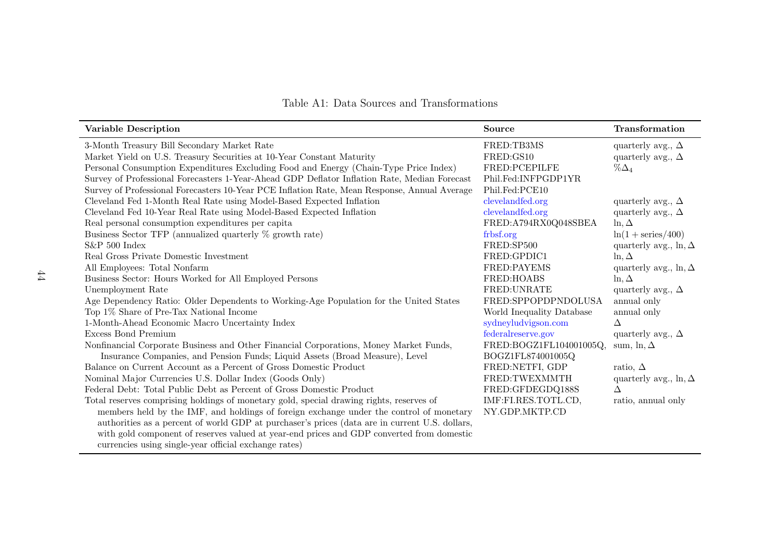<span id="page-44-0"></span>Table A1: Data Sources and Transformations

| <b>Variable Description</b>                                                                    | Source                    | Transformation                |
|------------------------------------------------------------------------------------------------|---------------------------|-------------------------------|
| 3-Month Treasury Bill Secondary Market Rate                                                    | FRED:TB3MS                | quarterly avg., $\Delta$      |
| Market Yield on U.S. Treasury Securities at 10-Year Constant Maturity                          | FRED:GS10                 | quarterly avg., $\Delta$      |
| Personal Consumption Expenditures Excluding Food and Energy (Chain-Type Price Index)           | FRED:PCEPILFE             | $\%\Delta_4$                  |
| Survey of Professional Forecasters 1-Year-Ahead GDP Deflator Inflation Rate, Median Forecast   | Phil.Fed:INFPGDP1YR       |                               |
| Survey of Professional Forecasters 10-Year PCE Inflation Rate, Mean Response, Annual Average   | Phil.Fed:PCE10            |                               |
| Cleveland Fed 1-Month Real Rate using Model-Based Expected Inflation                           | clevelandfed.org          | quarterly avg., $\Delta$      |
| Cleveland Fed 10-Year Real Rate using Model-Based Expected Inflation                           | clevelandfed.org          | quarterly avg., $\Delta$      |
| Real personal consumption expenditures per capita                                              | FRED:A794RX0Q048SBEA      | $\ln, \Delta$                 |
| Business Sector TFP (annualized quarterly % growth rate)                                       | frbsf.org                 | $\ln(1+\text{series}/400)$    |
| $S\&P500$ Index                                                                                | FRED:SP500                | quarterly avg., $\ln, \Delta$ |
| Real Gross Private Domestic Investment                                                         | FRED:GPDIC1               | $\ln, \Delta$                 |
| All Employees: Total Nonfarm                                                                   | <b>FRED:PAYEMS</b>        | quarterly avg., $\ln, \Delta$ |
| Business Sector: Hours Worked for All Employed Persons                                         | FRED:HOABS                | $\ln, \Delta$                 |
| Unemployment Rate                                                                              | FRED: UNRATE              | quarterly avg., $\Delta$      |
| Age Dependency Ratio: Older Dependents to Working-Age Population for the United States         | FRED:SPPOPDPNDOLUSA       | annual only                   |
| Top 1% Share of Pre-Tax National Income                                                        | World Inequality Database | annual only                   |
| 1-Month-Ahead Economic Macro Uncertainty Index                                                 | sydneyludvigson.com       | Δ                             |
| <b>Excess Bond Premium</b>                                                                     | federalreserve.gov        | quarterly avg., $\Delta$      |
| Nonfinancial Corporate Business and Other Financial Corporations, Money Market Funds,          | FRED:BOGZ1FL104001005Q,   | sum, $\ln, \Delta$            |
| Insurance Companies, and Pension Funds; Liquid Assets (Broad Measure), Level                   | BOGZ1FL874001005Q         |                               |
| Balance on Current Account as a Percent of Gross Domestic Product                              | FRED:NETFI, GDP           | ratio, $\Delta$               |
| Nominal Major Currencies U.S. Dollar Index (Goods Only)                                        | FRED:TWEXMMTH             | quarterly avg., $\ln, \Delta$ |
| Federal Debt: Total Public Debt as Percent of Gross Domestic Product                           | FRED:GFDEGDQ188S          | $\wedge$                      |
| Total reserves comprising holdings of monetary gold, special drawing rights, reserves of       | IMF:FI.RES.TOTL.CD,       | ratio, annual only            |
| members held by the IMF, and holdings of foreign exchange under the control of monetary        | NY.GDP.MKTP.CD            |                               |
| authorities as a percent of world GDP at purchaser's prices (data are in current U.S. dollars, |                           |                               |
| with gold component of reserves valued at year-end prices and GDP converted from domestic      |                           |                               |
| currencies using single-year official exchange rates)                                          |                           |                               |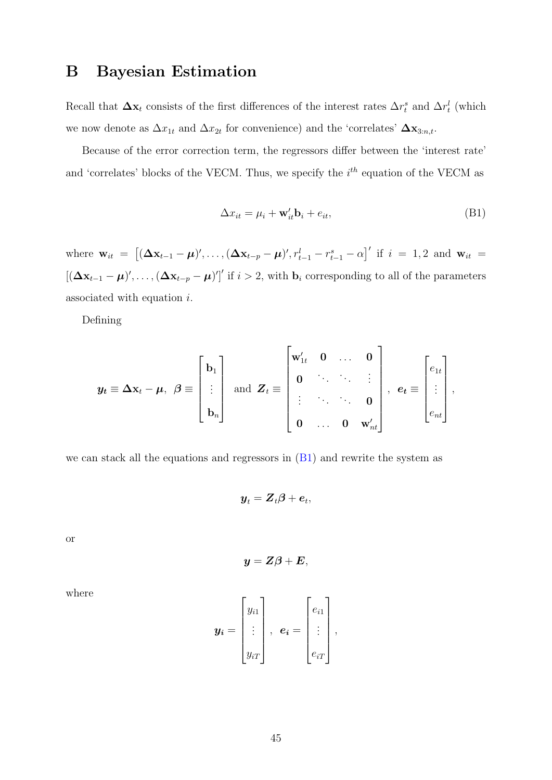## B Bayesian Estimation

Recall that  $\Delta x_t$  consists of the first differences of the interest rates  $\Delta r_t^s$  and  $\Delta r_t^l$  (which we now denote as  $\Delta x_{1t}$  and  $\Delta x_{2t}$  for convenience) and the 'correlates'  $\Delta x_{3:n,t}$ .

Because of the error correction term, the regressors differ between the 'interest rate' and 'correlates' blocks of the VECM. Thus, we specify the  $i<sup>th</sup>$  equation of the VECM as

<span id="page-45-0"></span>
$$
\Delta x_{it} = \mu_i + \mathbf{w}'_{it} \mathbf{b}_i + e_{it},\tag{B1}
$$

where  $\mathbf{w}_{it} = [(\Delta \mathbf{x}_{t-1} - \boldsymbol{\mu})', \ldots, (\Delta \mathbf{x}_{t-p} - \boldsymbol{\mu})', r_{t-1}^l - r_{t-1}^s - \alpha]'$  if  $i = 1, 2$  and  $\mathbf{w}_{it} =$  $[(\Delta \mathbf{x}_{t-1} - \boldsymbol{\mu})', \ldots, (\Delta \mathbf{x}_{t-p} - \boldsymbol{\mu})']'$  if  $i > 2$ , with  $\mathbf{b}_i$  corresponding to all of the parameters associated with equation  $i$ .

Defining

<span id="page-45-1"></span>
$$
\boldsymbol{y_t} \equiv \boldsymbol{\Delta} \mathbf{x}_t - \boldsymbol{\mu}, \ \boldsymbol{\beta} \equiv \begin{bmatrix} \mathbf{b}_1 \\ \vdots \\ \mathbf{b}_n \end{bmatrix} \ \text{and} \ \boldsymbol{Z}_t \equiv \begin{bmatrix} \mathbf{w}'_{1t} & \mathbf{0} & \dots & \mathbf{0} \\ \mathbf{0} & \ddots & \ddots & \vdots \\ \vdots & \ddots & \ddots & \mathbf{0} \\ \mathbf{0} & \dots & \mathbf{0} & \mathbf{w}'_{nt} \end{bmatrix}, \ \boldsymbol{e_t} \equiv \begin{bmatrix} e_{1t} \\ \vdots \\ e_{nt} \end{bmatrix},
$$

we can stack all the equations and regressors in [\(B1\)](#page-45-0) and rewrite the system as

$$
\boldsymbol{y}_t = \boldsymbol{Z}_t \boldsymbol{\beta} + \boldsymbol{e}_t,
$$

or

$$
\boldsymbol{y} = \boldsymbol{Z}\boldsymbol{\beta} + \boldsymbol{E},
$$

where

$$
\boldsymbol{y_i} = \begin{bmatrix} y_{i1} \\ \vdots \\ y_{iT} \end{bmatrix}, \ \boldsymbol{e_i} = \begin{bmatrix} e_{i1} \\ \vdots \\ e_{iT} \end{bmatrix},
$$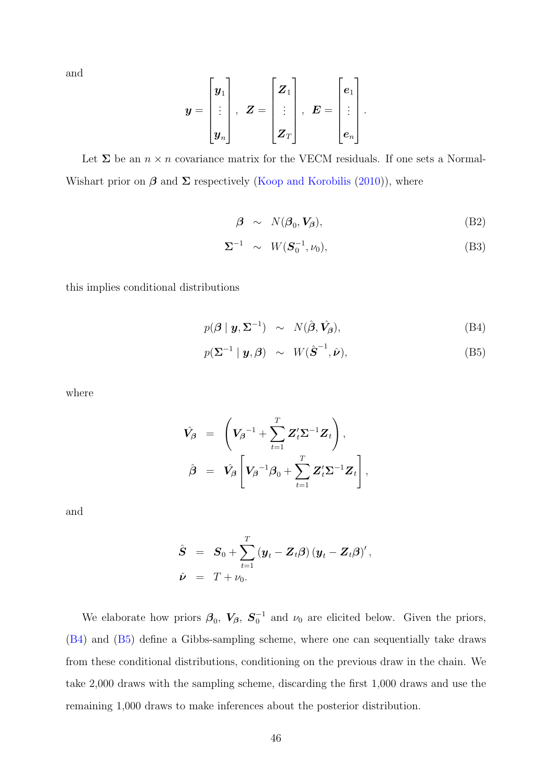and

$$
\boldsymbol{y} = \begin{bmatrix} \boldsymbol{y}_1 \\ \vdots \\ \boldsymbol{y}_n \end{bmatrix}, \ \ \boldsymbol{Z} = \begin{bmatrix} \boldsymbol{Z}_1 \\ \vdots \\ \boldsymbol{Z}_T \end{bmatrix}, \ \ \boldsymbol{E} = \begin{bmatrix} \boldsymbol{e}_1 \\ \vdots \\ \boldsymbol{e}_n \end{bmatrix}.
$$

Let  $\Sigma$  be an  $n \times n$  covariance matrix for the VECM residuals. If one sets a Normal-Wishart prior on  $\beta$  and  $\Sigma$  respectively [\(Koop and Korobilis](#page-40-10) [\(2010\)](#page-40-10)), where

$$
\boldsymbol{\beta} \sim N(\boldsymbol{\beta}_0, \boldsymbol{V}_{\boldsymbol{\beta}}), \tag{B2}
$$

$$
\Sigma^{-1} \sim W(\mathbf{S}_0^{-1}, \nu_0), \tag{B3}
$$

this implies conditional distributions

<span id="page-46-0"></span>
$$
p(\boldsymbol{\beta} \mid \boldsymbol{y}, \boldsymbol{\Sigma}^{-1}) \sim N(\hat{\boldsymbol{\beta}}, \hat{\boldsymbol{V}_{\boldsymbol{\beta}}}), \tag{B4}
$$

$$
p(\mathbf{\Sigma}^{-1} \mid \mathbf{y}, \boldsymbol{\beta}) \sim W(\hat{\mathbf{S}}^{-1}, \hat{\boldsymbol{\nu}}), \tag{B5}
$$

where

<span id="page-46-1"></span>
$$
\hat{V}_{\beta} = \left( V_{\beta}^{-1} + \sum_{t=1}^{T} Z_t^{\prime} \Sigma^{-1} Z_t \right),
$$

$$
\hat{\beta} = \hat{V}_{\beta} \left[ V_{\beta}^{-1} \beta_0 + \sum_{t=1}^{T} Z_t^{\prime} \Sigma^{-1} Z_t \right],
$$

and

$$
\hat{\mathbf{S}} = \mathbf{S}_0 + \sum_{t=1}^T (\mathbf{y}_t - \mathbf{Z}_t \boldsymbol{\beta}) (\mathbf{y}_t - \mathbf{Z}_t \boldsymbol{\beta})',
$$
  

$$
\hat{\mathbf{\nu}} = T + \nu_0.
$$

We elaborate how priors  $\beta_0, V_\beta, S_0^{-1}$  $_{0}^{-1}$  and  $\nu_{0}$  are elicited below. Given the priors, [\(B4\)](#page-46-0) and [\(B5\)](#page-46-0) define a Gibbs-sampling scheme, where one can sequentially take draws from these conditional distributions, conditioning on the previous draw in the chain. We take 2,000 draws with the sampling scheme, discarding the first 1,000 draws and use the remaining 1,000 draws to make inferences about the posterior distribution.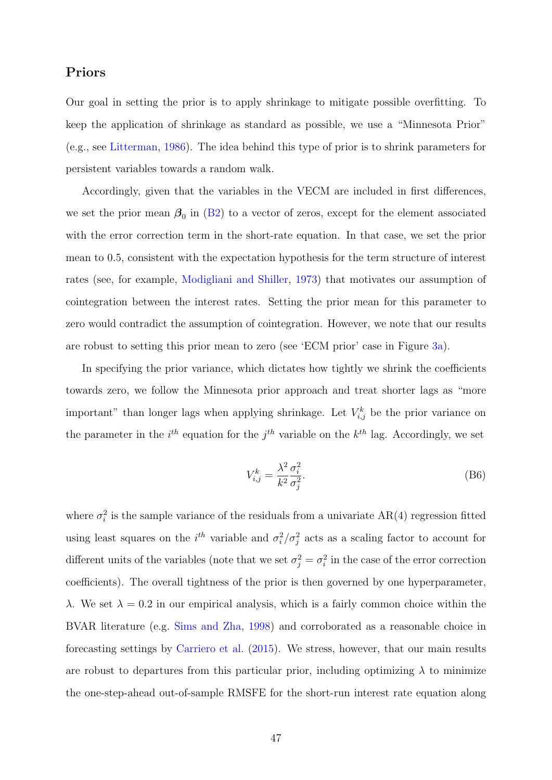### Priors

Our goal in setting the prior is to apply shrinkage to mitigate possible overfitting. To keep the application of shrinkage as standard as possible, we use a "Minnesota Prior" (e.g., see [Litterman,](#page-41-9) [1986\)](#page-41-9). The idea behind this type of prior is to shrink parameters for persistent variables towards a random walk.

Accordingly, given that the variables in the VECM are included in first differences, we set the prior mean  $\beta_0$  in [\(B2\)](#page-45-1) to a vector of zeros, except for the element associated with the error correction term in the short-rate equation. In that case, we set the prior mean to 0.5, consistent with the expectation hypothesis for the term structure of interest rates (see, for example, [Modigliani and Shiller,](#page-41-10) [1973\)](#page-41-10) that motivates our assumption of cointegration between the interest rates. Setting the prior mean for this parameter to zero would contradict the assumption of cointegration. However, we note that our results are robust to setting this prior mean to zero (see 'ECM prior' case in Figure [3a\)](#page-28-0).

In specifying the prior variance, which dictates how tightly we shrink the coefficients towards zero, we follow the Minnesota prior approach and treat shorter lags as "more important" than longer lags when applying shrinkage. Let  $V_{i,j}^k$  be the prior variance on the parameter in the  $i^{th}$  equation for the  $j^{th}$  variable on the  $k^{th}$  lag. Accordingly, we set

$$
V_{i,j}^k = \frac{\lambda^2}{k^2} \frac{\sigma_i^2}{\sigma_j^2}.
$$
 (B6)

where  $\sigma_i^2$  is the sample variance of the residuals from a univariate AR(4) regression fitted using least squares on the  $i^{th}$  variable and  $\sigma_i^2/\sigma_j^2$  acts as a scaling factor to account for different units of the variables (note that we set  $\sigma_j^2 = \sigma_i^2$  in the case of the error correction coefficients). The overall tightness of the prior is then governed by one hyperparameter, λ. We set  $\lambda = 0.2$  in our empirical analysis, which is a fairly common choice within the BVAR literature (e.g. [Sims and Zha,](#page-42-7) [1998\)](#page-42-7) and corroborated as a reasonable choice in forecasting settings by [Carriero et al.](#page-38-6) [\(2015\)](#page-38-6). We stress, however, that our main results are robust to departures from this particular prior, including optimizing  $\lambda$  to minimize the one-step-ahead out-of-sample RMSFE for the short-run interest rate equation along